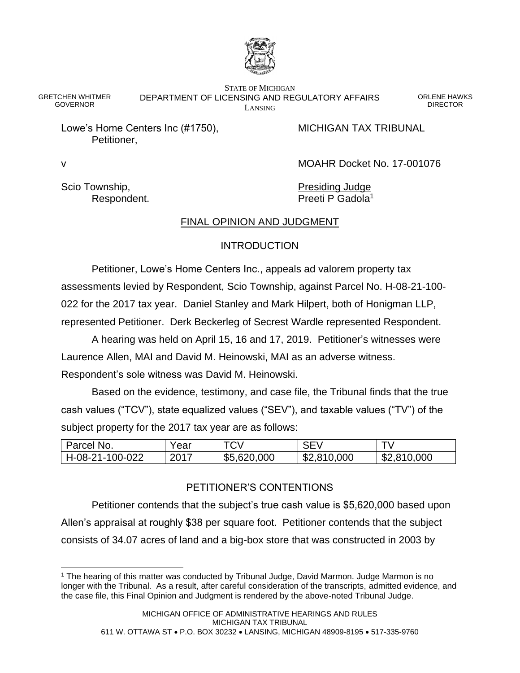

GRETCHEN WHITMER GOVERNOR

STATE OF MICHIGAN DEPARTMENT OF LICENSING AND REGULATORY AFFAIRS LANSING

ORLENE HAWKS **DIRECTOR** 

Lowe's Home Centers Inc (#1750), MICHIGAN TAX TRIBUNAL Petitioner,

v MOAHR Docket No. 17-001076

Scio Township, The Contract of the Presiding Judge

Respondent. **Preeti P Gadola**<sup>1</sup>

# FINAL OPINION AND JUDGMENT

# **INTRODUCTION**

Petitioner, Lowe's Home Centers Inc., appeals ad valorem property tax assessments levied by Respondent, Scio Township, against Parcel No. H-08-21-100- 022 for the 2017 tax year. Daniel Stanley and Mark Hilpert, both of Honigman LLP, represented Petitioner. Derk Beckerleg of Secrest Wardle represented Respondent.

A hearing was held on April 15, 16 and 17, 2019. Petitioner's witnesses were Laurence Allen, MAI and David M. Heinowski, MAI as an adverse witness. Respondent's sole witness was David M. Heinowski.

Based on the evidence, testimony, and case file, the Tribunal finds that the true cash values ("TCV"), state equalized values ("SEV"), and taxable values ("TV") of the subject property for the 2017 tax year are as follows:

| Parcel No.      | Year | <b>TCV</b>  | SEV         | <u>т</u> ъ. |
|-----------------|------|-------------|-------------|-------------|
| H-08-21-100-022 | 2017 | \$5,620,000 | \$2,810,000 | \$2,810,000 |

# PETITIONER'S CONTENTIONS

Petitioner contends that the subject's true cash value is \$5,620,000 based upon Allen's appraisal at roughly \$38 per square foot. Petitioner contends that the subject consists of 34.07 acres of land and a big-box store that was constructed in 2003 by

<sup>1</sup> The hearing of this matter was conducted by Tribunal Judge, David Marmon. Judge Marmon is no longer with the Tribunal. As a result, after careful consideration of the transcripts, admitted evidence, and the case file, this Final Opinion and Judgment is rendered by the above-noted Tribunal Judge.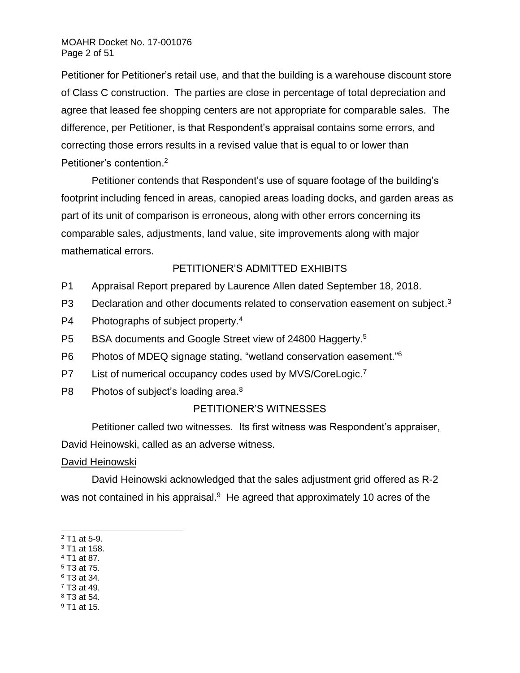Petitioner for Petitioner's retail use, and that the building is a warehouse discount store of Class C construction. The parties are close in percentage of total depreciation and agree that leased fee shopping centers are not appropriate for comparable sales. The difference, per Petitioner, is that Respondent's appraisal contains some errors, and correcting those errors results in a revised value that is equal to or lower than Petitioner's contention. 2

Petitioner contends that Respondent's use of square footage of the building's footprint including fenced in areas, canopied areas loading docks, and garden areas as part of its unit of comparison is erroneous, along with other errors concerning its comparable sales, adjustments, land value, site improvements along with major mathematical errors.

# PETITIONER'S ADMITTED EXHIBITS

- P1 Appraisal Report prepared by Laurence Allen dated September 18, 2018.
- P3 Declaration and other documents related to conservation easement on subject.<sup>3</sup>
- P4 Photographs of subject property.<sup>4</sup>
- P5 BSA documents and Google Street view of 24800 Haggerty.<sup>5</sup>
- P6 Photos of MDEQ signage stating, "wetland conservation easement."<sup>6</sup>
- P7 List of numerical occupancy codes used by MVS/CoreLogic.<sup>7</sup>
- P8 Photos of subject's loading area.<sup>8</sup>

# PETITIONER'S WITNESSES

Petitioner called two witnesses. Its first witness was Respondent's appraiser,

David Heinowski, called as an adverse witness.

## David Heinowski

David Heinowski acknowledged that the sales adjustment grid offered as R-2 was not contained in his appraisal.<sup>9</sup> He agreed that approximately 10 acres of the

- <sup>4</sup> T1 at 87.
- <sup>5</sup> T3 at 75. <sup>6</sup> T3 at 34.
- $7$  T3 at 49.
- <sup>8</sup> T3 at 54.
- <sup>9</sup> T1 at 15.

<sup>2</sup> T1 at 5-9.

<sup>3</sup> T1 at 158.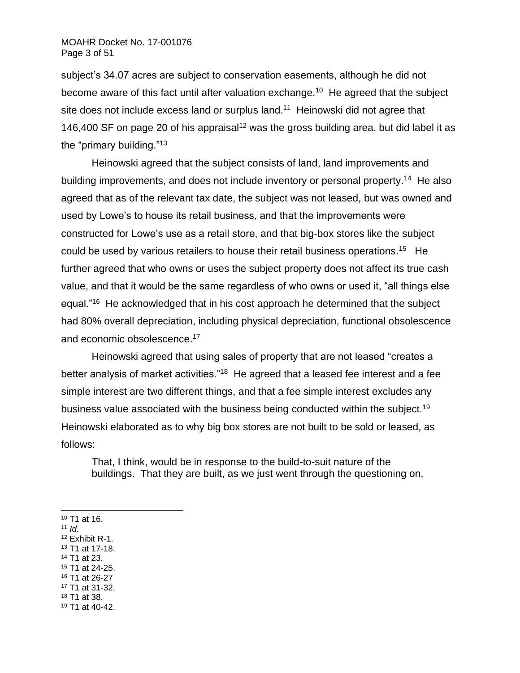subject's 34.07 acres are subject to conservation easements, although he did not become aware of this fact until after valuation exchange.<sup>10</sup> He agreed that the subject site does not include excess land or surplus land.<sup>11</sup> Heinowski did not agree that 146,400 SF on page 20 of his appraisal<sup>12</sup> was the gross building area, but did label it as the "primary building."<sup>13</sup>

Heinowski agreed that the subject consists of land, land improvements and building improvements, and does not include inventory or personal property.<sup>14</sup> He also agreed that as of the relevant tax date, the subject was not leased, but was owned and used by Lowe's to house its retail business, and that the improvements were constructed for Lowe's use as a retail store, and that big-box stores like the subject could be used by various retailers to house their retail business operations.<sup>15</sup> He further agreed that who owns or uses the subject property does not affect its true cash value, and that it would be the same regardless of who owns or used it, "all things else equal."<sup>16</sup> He acknowledged that in his cost approach he determined that the subject had 80% overall depreciation, including physical depreciation, functional obsolescence and economic obsolescence. 17

Heinowski agreed that using sales of property that are not leased "creates a better analysis of market activities."<sup>18</sup> He agreed that a leased fee interest and a fee simple interest are two different things, and that a fee simple interest excludes any business value associated with the business being conducted within the subject.<sup>19</sup> Heinowski elaborated as to why big box stores are not built to be sold or leased, as follows:

That, I think, would be in response to the build-to-suit nature of the buildings. That they are built, as we just went through the questioning on,

- <sup>10</sup> T1 at 16.
- $11$  *Id.*
- <sup>12</sup> Exhibit R-1.
- <sup>13</sup> T1 at 17-18.
- <sup>14</sup> T1 at 23. <sup>15</sup> T1 at 24-25.
- <sup>16</sup> T1 at 26-27
- <sup>17</sup> T1 at 31-32.
- <sup>18</sup> T1 at 38.
- <sup>19</sup> T1 at 40-42.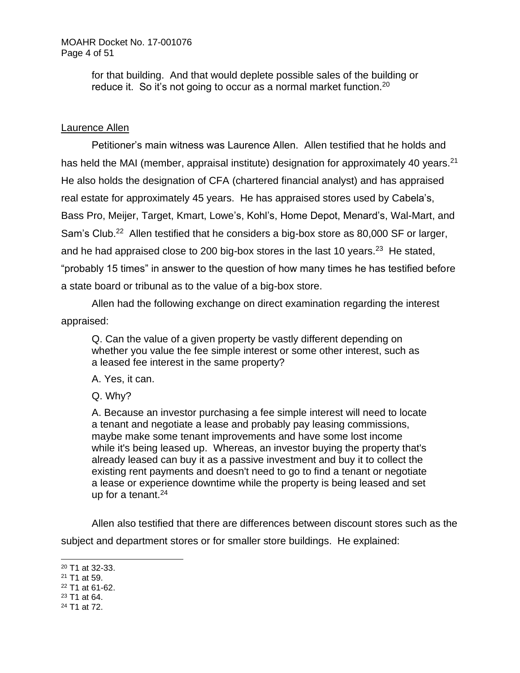for that building. And that would deplete possible sales of the building or reduce it. So it's not going to occur as a normal market function.<sup>20</sup>

# Laurence Allen

Petitioner's main witness was Laurence Allen. Allen testified that he holds and has held the MAI (member, appraisal institute) designation for approximately 40 years.<sup>21</sup> He also holds the designation of CFA (chartered financial analyst) and has appraised real estate for approximately 45 years. He has appraised stores used by Cabela's, Bass Pro, Meijer, Target, Kmart, Lowe's, Kohl's, Home Depot, Menard's, Wal-Mart, and Sam's Club.<sup>22</sup> Allen testified that he considers a big-box store as 80,000 SF or larger, and he had appraised close to 200 big-box stores in the last 10 years.<sup>23</sup> He stated, "probably 15 times" in answer to the question of how many times he has testified before a state board or tribunal as to the value of a big-box store.

Allen had the following exchange on direct examination regarding the interest appraised:

Q. Can the value of a given property be vastly different depending on whether you value the fee simple interest or some other interest, such as a leased fee interest in the same property?

A. Yes, it can.

Q. Why?

A. Because an investor purchasing a fee simple interest will need to locate a tenant and negotiate a lease and probably pay leasing commissions, maybe make some tenant improvements and have some lost income while it's being leased up. Whereas, an investor buying the property that's already leased can buy it as a passive investment and buy it to collect the existing rent payments and doesn't need to go to find a tenant or negotiate a lease or experience downtime while the property is being leased and set up for a tenant. $24$ 

Allen also testified that there are differences between discount stores such as the subject and department stores or for smaller store buildings. He explained:

- <sup>22</sup> T1 at 61-62.
- <sup>23</sup> T1 at 64. <sup>24</sup> T1 at 72.

<sup>20</sup> T1 at 32-33.

<sup>21</sup> T1 at 59.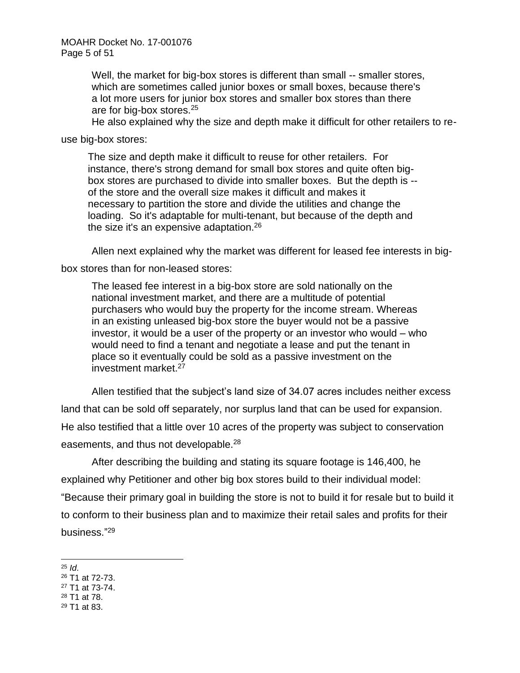Well, the market for big-box stores is different than small -- smaller stores, which are sometimes called junior boxes or small boxes, because there's a lot more users for junior box stores and smaller box stores than there are for big-box stores.<sup>25</sup>

He also explained why the size and depth make it difficult for other retailers to re-

use big-box stores:

The size and depth make it difficult to reuse for other retailers. For instance, there's strong demand for small box stores and quite often bigbox stores are purchased to divide into smaller boxes. But the depth is - of the store and the overall size makes it difficult and makes it necessary to partition the store and divide the utilities and change the loading. So it's adaptable for multi-tenant, but because of the depth and the size it's an expensive adaptation.<sup>26</sup>

Allen next explained why the market was different for leased fee interests in big-

box stores than for non-leased stores:

The leased fee interest in a big-box store are sold nationally on the national investment market, and there are a multitude of potential purchasers who would buy the property for the income stream. Whereas in an existing unleased big-box store the buyer would not be a passive investor, it would be a user of the property or an investor who would – who would need to find a tenant and negotiate a lease and put the tenant in place so it eventually could be sold as a passive investment on the investment market.<sup>27</sup>

Allen testified that the subject's land size of 34.07 acres includes neither excess

land that can be sold off separately, nor surplus land that can be used for expansion. He also testified that a little over 10 acres of the property was subject to conservation easements, and thus not developable.<sup>28</sup>

After describing the building and stating its square footage is 146,400, he explained why Petitioner and other big box stores build to their individual model: "Because their primary goal in building the store is not to build it for resale but to build it to conform to their business plan and to maximize their retail sales and profits for their business." 29

- <sup>27</sup> T1 at 73-74.
- <sup>28</sup> T1 at 78.
- <sup>29</sup> T1 at 83.

 $25$  *Id.* 

<sup>26</sup> T1 at 72-73.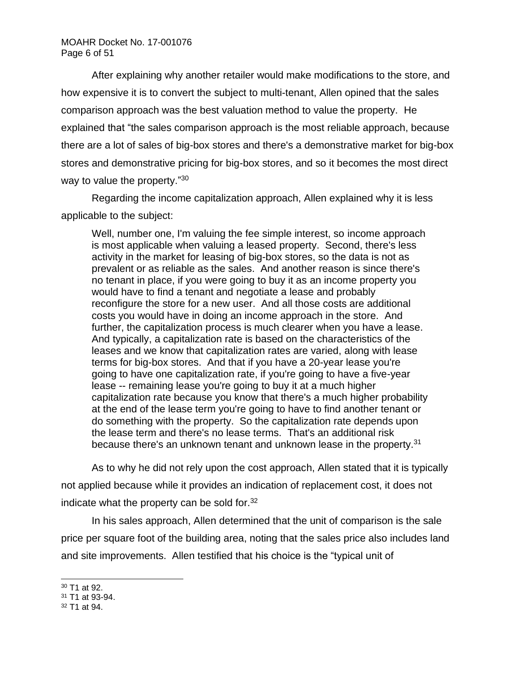After explaining why another retailer would make modifications to the store, and how expensive it is to convert the subject to multi-tenant, Allen opined that the sales comparison approach was the best valuation method to value the property. He explained that "the sales comparison approach is the most reliable approach, because there are a lot of sales of big-box stores and there's a demonstrative market for big-box stores and demonstrative pricing for big-box stores, and so it becomes the most direct way to value the property."<sup>30</sup>

Regarding the income capitalization approach, Allen explained why it is less applicable to the subject:

Well, number one, I'm valuing the fee simple interest, so income approach is most applicable when valuing a leased property. Second, there's less activity in the market for leasing of big-box stores, so the data is not as prevalent or as reliable as the sales. And another reason is since there's no tenant in place, if you were going to buy it as an income property you would have to find a tenant and negotiate a lease and probably reconfigure the store for a new user. And all those costs are additional costs you would have in doing an income approach in the store. And further, the capitalization process is much clearer when you have a lease. And typically, a capitalization rate is based on the characteristics of the leases and we know that capitalization rates are varied, along with lease terms for big-box stores. And that if you have a 20-year lease you're going to have one capitalization rate, if you're going to have a five-year lease -- remaining lease you're going to buy it at a much higher capitalization rate because you know that there's a much higher probability at the end of the lease term you're going to have to find another tenant or do something with the property. So the capitalization rate depends upon the lease term and there's no lease terms. That's an additional risk because there's an unknown tenant and unknown lease in the property.<sup>31</sup>

As to why he did not rely upon the cost approach, Allen stated that it is typically not applied because while it provides an indication of replacement cost, it does not indicate what the property can be sold for. $32$ 

In his sales approach, Allen determined that the unit of comparison is the sale price per square foot of the building area, noting that the sales price also includes land and site improvements. Allen testified that his choice is the "typical unit of

<sup>30</sup> T1 at 92.

<sup>31</sup> T1 at 93-94.

<sup>32</sup> T1 at 94.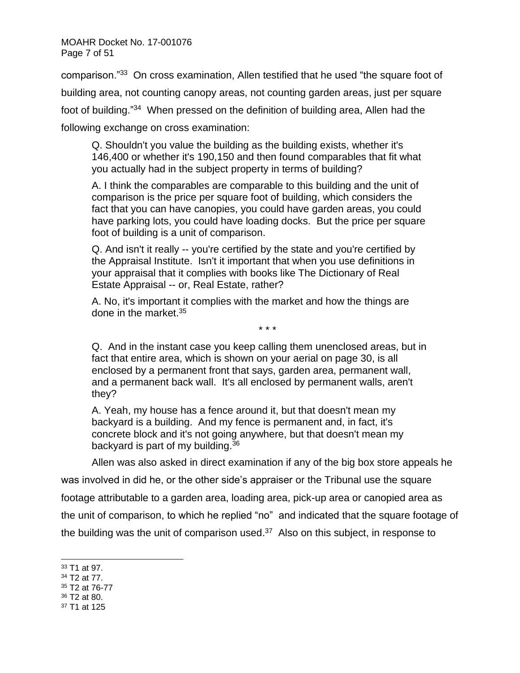MOAHR Docket No. 17-001076 Page 7 of 51

comparison."<sup>33</sup> On cross examination, Allen testified that he used "the square foot of building area, not counting canopy areas, not counting garden areas, just per square foot of building."<sup>34</sup> When pressed on the definition of building area, Allen had the following exchange on cross examination:

Q. Shouldn't you value the building as the building exists, whether it's 146,400 or whether it's 190,150 and then found comparables that fit what you actually had in the subject property in terms of building?

A. I think the comparables are comparable to this building and the unit of comparison is the price per square foot of building, which considers the fact that you can have canopies, you could have garden areas, you could have parking lots, you could have loading docks. But the price per square foot of building is a unit of comparison.

Q. And isn't it really -- you're certified by the state and you're certified by the Appraisal Institute. Isn't it important that when you use definitions in your appraisal that it complies with books like The Dictionary of Real Estate Appraisal -- or, Real Estate, rather?

A. No, it's important it complies with the market and how the things are done in the market.<sup>35</sup>

Q. And in the instant case you keep calling them unenclosed areas, but in fact that entire area, which is shown on your aerial on page 30, is all enclosed by a permanent front that says, garden area, permanent wall, and a permanent back wall. It's all enclosed by permanent walls, aren't they?

\* \* \*

A. Yeah, my house has a fence around it, but that doesn't mean my backyard is a building. And my fence is permanent and, in fact, it's concrete block and it's not going anywhere, but that doesn't mean my backyard is part of my building.<sup>36</sup>

Allen was also asked in direct examination if any of the big box store appeals he

was involved in did he, or the other side's appraiser or the Tribunal use the square footage attributable to a garden area, loading area, pick-up area or canopied area as the unit of comparison, to which he replied "no" and indicated that the square footage of the building was the unit of comparison used.<sup>37</sup> Also on this subject, in response to

- <sup>35</sup> T2 at 76-77
- <sup>36</sup> T2 at 80.

<sup>33</sup> T1 at 97.

<sup>34</sup> T2 at 77.

<sup>37</sup> T1 at 125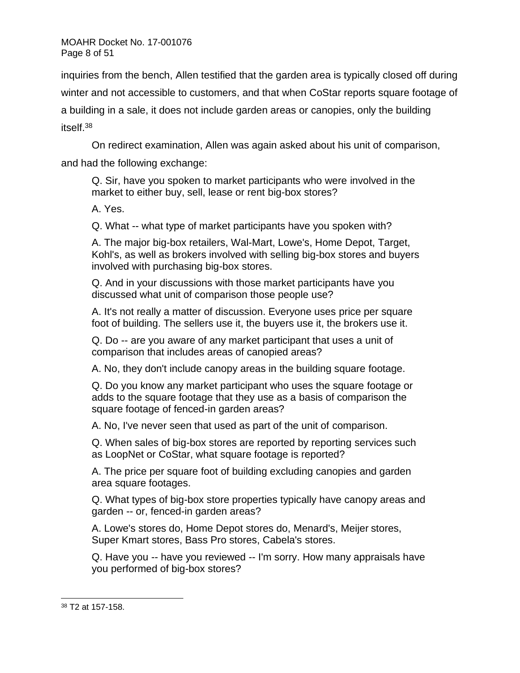inquiries from the bench, Allen testified that the garden area is typically closed off during winter and not accessible to customers, and that when CoStar reports square footage of a building in a sale, it does not include garden areas or canopies, only the building itself.<sup>38</sup>

On redirect examination, Allen was again asked about his unit of comparison, and had the following exchange:

Q. Sir, have you spoken to market participants who were involved in the market to either buy, sell, lease or rent big-box stores?

A. Yes.

Q. What -- what type of market participants have you spoken with?

A. The major big-box retailers, Wal-Mart, Lowe's, Home Depot, Target, Kohl's, as well as brokers involved with selling big-box stores and buyers involved with purchasing big-box stores.

Q. And in your discussions with those market participants have you discussed what unit of comparison those people use?

A. It's not really a matter of discussion. Everyone uses price per square foot of building. The sellers use it, the buyers use it, the brokers use it.

Q. Do -- are you aware of any market participant that uses a unit of comparison that includes areas of canopied areas?

A. No, they don't include canopy areas in the building square footage.

Q. Do you know any market participant who uses the square footage or adds to the square footage that they use as a basis of comparison the square footage of fenced-in garden areas?

A. No, I've never seen that used as part of the unit of comparison.

Q. When sales of big-box stores are reported by reporting services such as LoopNet or CoStar, what square footage is reported?

A. The price per square foot of building excluding canopies and garden area square footages.

Q. What types of big-box store properties typically have canopy areas and garden -- or, fenced-in garden areas?

A. Lowe's stores do, Home Depot stores do, Menard's, Meijer stores, Super Kmart stores, Bass Pro stores, Cabela's stores.

Q. Have you -- have you reviewed -- I'm sorry. How many appraisals have you performed of big-box stores?

<sup>38</sup> T2 at 157-158.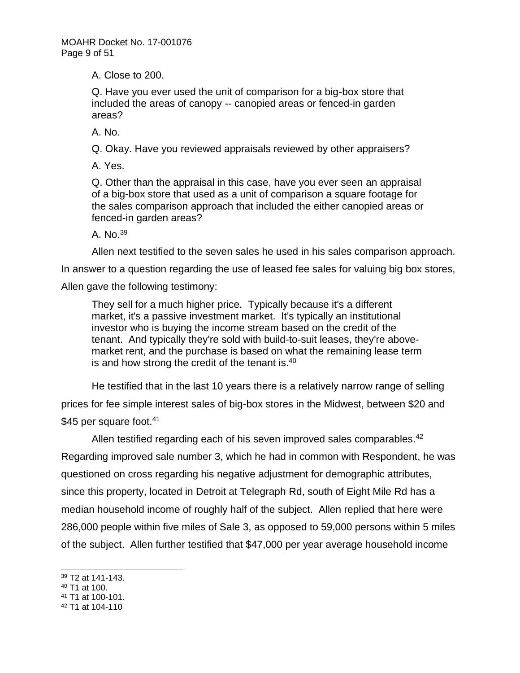A. Close to 200.

Q. Have you ever used the unit of comparison for a big-box store that included the areas of canopy -- canopied areas or fenced-in garden areas?

A. No.

Q. Okay. Have you reviewed appraisals reviewed by other appraisers?

A. Yes.

Q. Other than the appraisal in this case, have you ever seen an appraisal of a big-box store that used as a unit of comparison a square footage for the sales comparison approach that included the either canopied areas or fenced-in garden areas?

A. No.<sup>39</sup>

Allen next testified to the seven sales he used in his sales comparison approach.

In answer to a question regarding the use of leased fee sales for valuing big box stores,

Allen gave the following testimony:

They sell for a much higher price. Typically because it's a different market, it's a passive investment market. It's typically an institutional investor who is buying the income stream based on the credit of the tenant. And typically they're sold with build-to-suit leases, they're abovemarket rent, and the purchase is based on what the remaining lease term is and how strong the credit of the tenant is. $40$ 

He testified that in the last 10 years there is a relatively narrow range of selling prices for fee simple interest sales of big-box stores in the Midwest, between \$20 and \$45 per square foot.<sup>41</sup>

Allen testified regarding each of his seven improved sales comparables.<sup>42</sup> Regarding improved sale number 3, which he had in common with Respondent, he was questioned on cross regarding his negative adjustment for demographic attributes, since this property, located in Detroit at Telegraph Rd, south of Eight Mile Rd has a median household income of roughly half of the subject. Allen replied that here were 286,000 people within five miles of Sale 3, as opposed to 59,000 persons within 5 miles of the subject. Allen further testified that \$47,000 per year average household income

- <sup>40</sup> T1 at 100.
- <sup>41</sup> T1 at 100-101.
- <sup>42</sup> T1 at 104-110

<sup>39</sup> T2 at 141-143.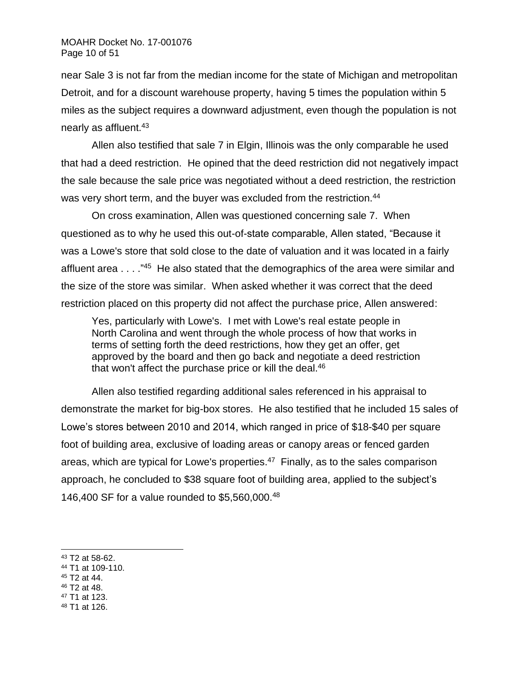near Sale 3 is not far from the median income for the state of Michigan and metropolitan Detroit, and for a discount warehouse property, having 5 times the population within 5 miles as the subject requires a downward adjustment, even though the population is not nearly as affluent.<sup>43</sup>

Allen also testified that sale 7 in Elgin, Illinois was the only comparable he used that had a deed restriction. He opined that the deed restriction did not negatively impact the sale because the sale price was negotiated without a deed restriction, the restriction was very short term, and the buyer was excluded from the restriction.<sup>44</sup>

On cross examination, Allen was questioned concerning sale 7. When questioned as to why he used this out-of-state comparable, Allen stated, "Because it was a Lowe's store that sold close to the date of valuation and it was located in a fairly affluent area . . . . "<sup>45</sup> He also stated that the demographics of the area were similar and the size of the store was similar. When asked whether it was correct that the deed restriction placed on this property did not affect the purchase price, Allen answered:

Yes, particularly with Lowe's. I met with Lowe's real estate people in North Carolina and went through the whole process of how that works in terms of setting forth the deed restrictions, how they get an offer, get approved by the board and then go back and negotiate a deed restriction that won't affect the purchase price or kill the deal.<sup>46</sup>

Allen also testified regarding additional sales referenced in his appraisal to demonstrate the market for big-box stores. He also testified that he included 15 sales of Lowe's stores between 2010 and 2014, which ranged in price of \$18-\$40 per square foot of building area, exclusive of loading areas or canopy areas or fenced garden areas, which are typical for Lowe's properties.<sup>47</sup> Finally, as to the sales comparison approach, he concluded to \$38 square foot of building area, applied to the subject's 146,400 SF for a value rounded to \$5,560,000.<sup>48</sup>

- <sup>44</sup> T1 at 109-110.
- <sup>45</sup> T2 at 44.
- <sup>46</sup> T2 at 48.
- <sup>47</sup> T1 at 123.
- <sup>48</sup> T1 at 126.

<sup>43</sup> T2 at 58-62.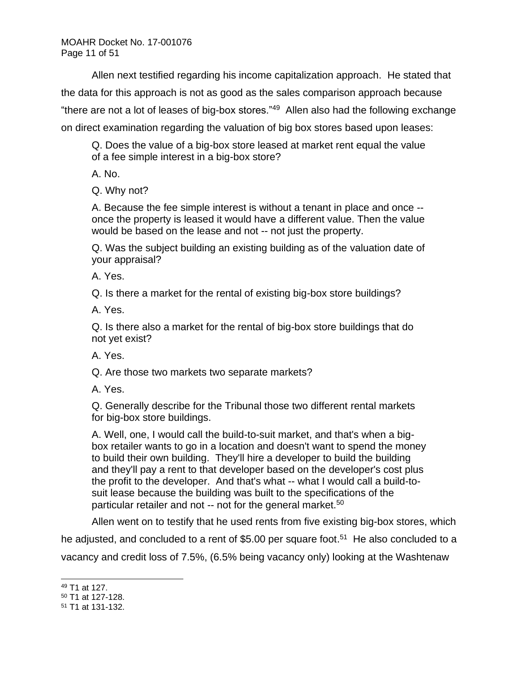Allen next testified regarding his income capitalization approach. He stated that the data for this approach is not as good as the sales comparison approach because "there are not a lot of leases of big-box stores."<sup>49</sup> Allen also had the following exchange on direct examination regarding the valuation of big box stores based upon leases:

Q. Does the value of a big-box store leased at market rent equal the value of a fee simple interest in a big-box store?

A. No.

Q. Why not?

A. Because the fee simple interest is without a tenant in place and once - once the property is leased it would have a different value. Then the value would be based on the lease and not -- not just the property.

Q. Was the subject building an existing building as of the valuation date of your appraisal?

A. Yes.

Q. Is there a market for the rental of existing big-box store buildings?

A. Yes.

Q. Is there also a market for the rental of big-box store buildings that do not yet exist?

A. Yes.

Q. Are those two markets two separate markets?

A. Yes.

Q. Generally describe for the Tribunal those two different rental markets for big-box store buildings.

A. Well, one, I would call the build-to-suit market, and that's when a bigbox retailer wants to go in a location and doesn't want to spend the money to build their own building. They'll hire a developer to build the building and they'll pay a rent to that developer based on the developer's cost plus the profit to the developer. And that's what -- what I would call a build-tosuit lease because the building was built to the specifications of the particular retailer and not -- not for the general market.<sup>50</sup>

Allen went on to testify that he used rents from five existing big-box stores, which

he adjusted, and concluded to a rent of \$5.00 per square foot.<sup>51</sup> He also concluded to a vacancy and credit loss of 7.5%, (6.5% being vacancy only) looking at the Washtenaw

<sup>49</sup> T1 at 127.

<sup>50</sup> T1 at 127-128.

<sup>51</sup> T1 at 131-132.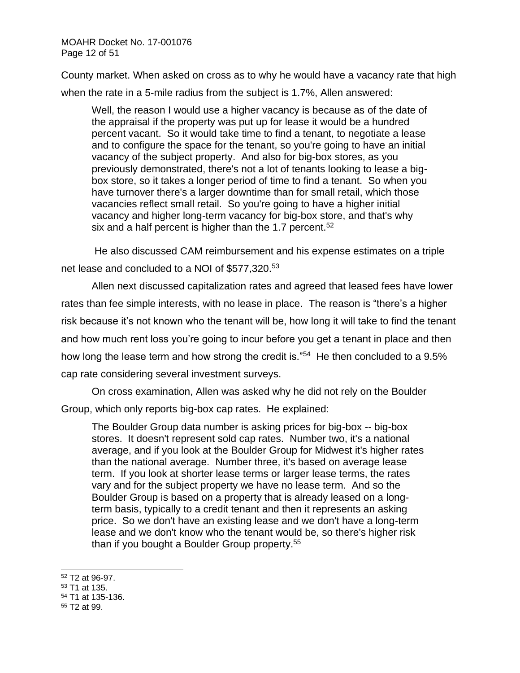MOAHR Docket No. 17-001076 Page 12 of 51

County market. When asked on cross as to why he would have a vacancy rate that high when the rate in a 5-mile radius from the subject is 1.7%, Allen answered:

Well, the reason I would use a higher vacancy is because as of the date of the appraisal if the property was put up for lease it would be a hundred percent vacant. So it would take time to find a tenant, to negotiate a lease and to configure the space for the tenant, so you're going to have an initial vacancy of the subject property. And also for big-box stores, as you previously demonstrated, there's not a lot of tenants looking to lease a bigbox store, so it takes a longer period of time to find a tenant. So when you have turnover there's a larger downtime than for small retail, which those vacancies reflect small retail. So you're going to have a higher initial vacancy and higher long-term vacancy for big-box store, and that's why six and a half percent is higher than the 1.7 percent.<sup>52</sup>

He also discussed CAM reimbursement and his expense estimates on a triple net lease and concluded to a NOI of \$577,320.<sup>53</sup>

Allen next discussed capitalization rates and agreed that leased fees have lower rates than fee simple interests, with no lease in place. The reason is "there's a higher risk because it's not known who the tenant will be, how long it will take to find the tenant and how much rent loss you're going to incur before you get a tenant in place and then how long the lease term and how strong the credit is."<sup>54</sup> He then concluded to a 9.5% cap rate considering several investment surveys.

On cross examination, Allen was asked why he did not rely on the Boulder Group, which only reports big-box cap rates. He explained:

The Boulder Group data number is asking prices for big-box -- big-box stores. It doesn't represent sold cap rates. Number two, it's a national average, and if you look at the Boulder Group for Midwest it's higher rates than the national average. Number three, it's based on average lease term. If you look at shorter lease terms or larger lease terms, the rates vary and for the subject property we have no lease term. And so the Boulder Group is based on a property that is already leased on a longterm basis, typically to a credit tenant and then it represents an asking price. So we don't have an existing lease and we don't have a long-term lease and we don't know who the tenant would be, so there's higher risk than if you bought a Boulder Group property.<sup>55</sup>

<sup>55</sup> T2 at 99.

<sup>52</sup> T2 at 96-97.

<sup>53</sup> T1 at 135.

<sup>54</sup> T1 at 135-136.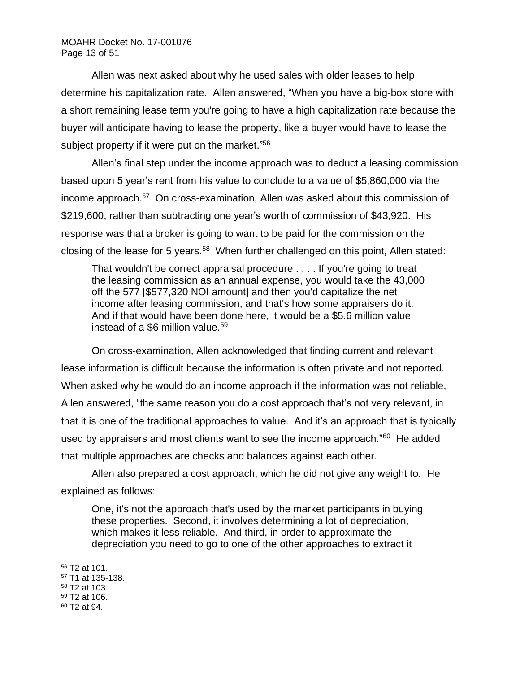Allen was next asked about why he used sales with older leases to help determine his capitalization rate. Allen answered, "When you have a big-box store with a short remaining lease term you're going to have a high capitalization rate because the buyer will anticipate having to lease the property, like a buyer would have to lease the subject property if it were put on the market."<sup>56</sup>

Allen's final step under the income approach was to deduct a leasing commission based upon 5 year's rent from his value to conclude to a value of \$5,860,000 via the income approach.<sup>57</sup> On cross-examination, Allen was asked about this commission of \$219,600, rather than subtracting one year's worth of commission of \$43,920. His response was that a broker is going to want to be paid for the commission on the closing of the lease for 5 years.<sup>58</sup> When further challenged on this point, Allen stated:

That wouldn't be correct appraisal procedure . . . . If you're going to treat the leasing commission as an annual expense, you would take the 43,000 off the 577 [\$577,320 NOI amount] and then you'd capitalize the net income after leasing commission, and that's how some appraisers do it. And if that would have been done here, it would be a \$5.6 million value instead of a \$6 million value.<sup>59</sup>

On cross-examination, Allen acknowledged that finding current and relevant lease information is difficult because the information is often private and not reported. When asked why he would do an income approach if the information was not reliable, Allen answered, "the same reason you do a cost approach that's not very relevant, in that it is one of the traditional approaches to value. And it's an approach that is typically used by appraisers and most clients want to see the income approach."<sup>60</sup> He added that multiple approaches are checks and balances against each other.

Allen also prepared a cost approach, which he did not give any weight to. He explained as follows:

One, it's not the approach that's used by the market participants in buying these properties. Second, it involves determining a lot of depreciation, which makes it less reliable. And third, in order to approximate the depreciation you need to go to one of the other approaches to extract it

<sup>56</sup> T2 at 101.

<sup>57</sup> T1 at 135-138.

<sup>58</sup> T2 at 103

<sup>59</sup> T2 at 106.

<sup>60</sup> T2 at 94.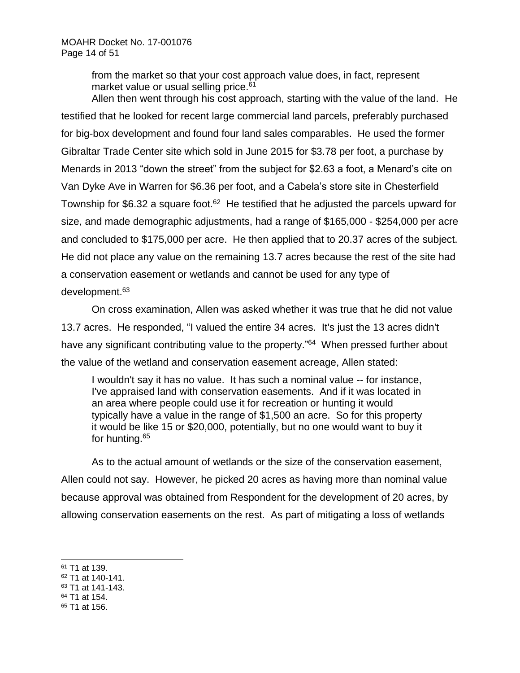from the market so that your cost approach value does, in fact, represent market value or usual selling price.<sup>61</sup>

Allen then went through his cost approach, starting with the value of the land. He testified that he looked for recent large commercial land parcels, preferably purchased for big-box development and found four land sales comparables. He used the former Gibraltar Trade Center site which sold in June 2015 for \$3.78 per foot, a purchase by Menards in 2013 "down the street" from the subject for \$2.63 a foot, a Menard's cite on Van Dyke Ave in Warren for \$6.36 per foot, and a Cabela's store site in Chesterfield Township for \$6.32 a square foot.<sup>62</sup> He testified that he adjusted the parcels upward for size, and made demographic adjustments, had a range of \$165,000 - \$254,000 per acre and concluded to \$175,000 per acre. He then applied that to 20.37 acres of the subject. He did not place any value on the remaining 13.7 acres because the rest of the site had a conservation easement or wetlands and cannot be used for any type of development.<sup>63</sup>

On cross examination, Allen was asked whether it was true that he did not value 13.7 acres. He responded, "I valued the entire 34 acres. It's just the 13 acres didn't have any significant contributing value to the property."<sup>64</sup> When pressed further about the value of the wetland and conservation easement acreage, Allen stated:

I wouldn't say it has no value. It has such a nominal value -- for instance, I've appraised land with conservation easements. And if it was located in an area where people could use it for recreation or hunting it would typically have a value in the range of \$1,500 an acre. So for this property it would be like 15 or \$20,000, potentially, but no one would want to buy it for hunting.<sup>65</sup>

As to the actual amount of wetlands or the size of the conservation easement, Allen could not say. However, he picked 20 acres as having more than nominal value because approval was obtained from Respondent for the development of 20 acres, by allowing conservation easements on the rest. As part of mitigating a loss of wetlands

<sup>61</sup> T1 at 139.

<sup>62</sup> T1 at 140-141.

<sup>63</sup> T1 at 141-143.

<sup>64</sup> T1 at 154.

<sup>65</sup> T1 at 156.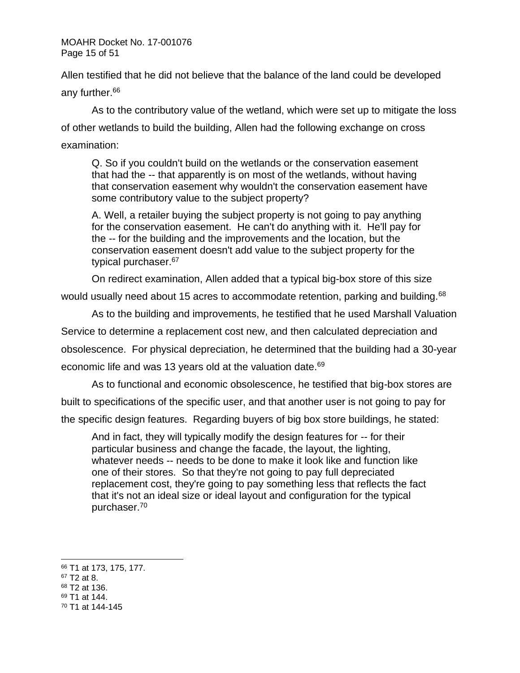MOAHR Docket No. 17-001076 Page 15 of 51

Allen testified that he did not believe that the balance of the land could be developed any further.<sup>66</sup>

As to the contributory value of the wetland, which were set up to mitigate the loss of other wetlands to build the building, Allen had the following exchange on cross examination:

Q. So if you couldn't build on the wetlands or the conservation easement that had the -- that apparently is on most of the wetlands, without having that conservation easement why wouldn't the conservation easement have some contributory value to the subject property?

A. Well, a retailer buying the subject property is not going to pay anything for the conservation easement. He can't do anything with it. He'll pay for the -- for the building and the improvements and the location, but the conservation easement doesn't add value to the subject property for the typical purchaser.<sup>67</sup>

On redirect examination, Allen added that a typical big-box store of this size

would usually need about 15 acres to accommodate retention, parking and building.<sup>68</sup>

As to the building and improvements, he testified that he used Marshall Valuation

Service to determine a replacement cost new, and then calculated depreciation and

obsolescence. For physical depreciation, he determined that the building had a 30-year

economic life and was 13 years old at the valuation date.<sup>69</sup>

As to functional and economic obsolescence, he testified that big-box stores are

built to specifications of the specific user, and that another user is not going to pay for

the specific design features. Regarding buyers of big box store buildings, he stated:

And in fact, they will typically modify the design features for -- for their particular business and change the facade, the layout, the lighting, whatever needs -- needs to be done to make it look like and function like one of their stores. So that they're not going to pay full depreciated replacement cost, they're going to pay something less that reflects the fact that it's not an ideal size or ideal layout and configuration for the typical purchaser.<sup>70</sup>

<sup>66</sup> T1 at 173, 175, 177.

 $67$  T2 at 8.

<sup>68</sup> T2 at 136.

<sup>69</sup> T1 at 144.

<sup>70</sup> T1 at 144-145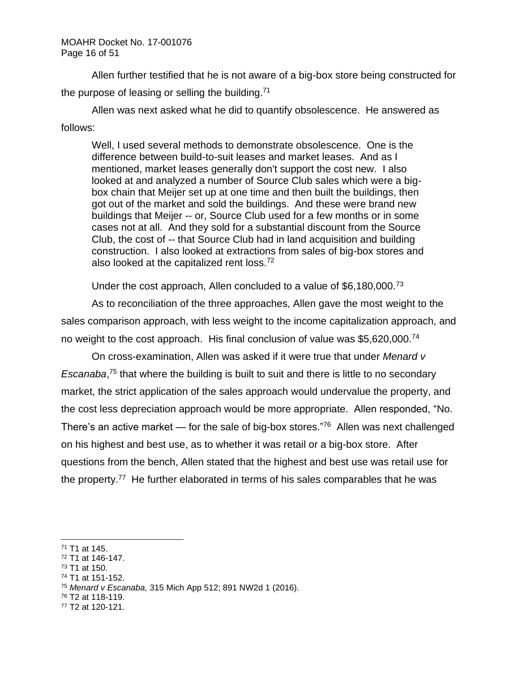Allen further testified that he is not aware of a big-box store being constructed for the purpose of leasing or selling the building.<sup>71</sup>

Allen was next asked what he did to quantify obsolescence. He answered as follows:

Well, I used several methods to demonstrate obsolescence. One is the difference between build-to-suit leases and market leases. And as I mentioned, market leases generally don't support the cost new. I also looked at and analyzed a number of Source Club sales which were a bigbox chain that Meijer set up at one time and then built the buildings, then got out of the market and sold the buildings. And these were brand new buildings that Meijer -- or, Source Club used for a few months or in some cases not at all. And they sold for a substantial discount from the Source Club, the cost of -- that Source Club had in land acquisition and building construction. I also looked at extractions from sales of big-box stores and also looked at the capitalized rent loss.<sup>72</sup>

Under the cost approach, Allen concluded to a value of \$6,180,000.<sup>73</sup>

As to reconciliation of the three approaches, Allen gave the most weight to the sales comparison approach, with less weight to the income capitalization approach, and no weight to the cost approach. His final conclusion of value was \$5,620,000.<sup>74</sup>

On cross-examination, Allen was asked if it were true that under *Menard v Escanaba*, <sup>75</sup> that where the building is built to suit and there is little to no secondary market, the strict application of the sales approach would undervalue the property, and the cost less depreciation approach would be more appropriate. Allen responded, "No. There's an active market  $-$  for the sale of big-box stores."<sup>76</sup> Allen was next challenged on his highest and best use, as to whether it was retail or a big-box store. After questions from the bench, Allen stated that the highest and best use was retail use for the property.<sup>77</sup> He further elaborated in terms of his sales comparables that he was

- $73$  T1 at 150.
- <sup>74</sup> T1 at 151-152.

<sup>76</sup> T2 at 118-119.

<sup>71</sup> T1 at 145.

<sup>72</sup> T1 at 146-147.

<sup>75</sup> *Menard v Escanaba,* 315 Mich App 512; 891 NW2d 1 (2016).

<sup>77</sup> T2 at 120-121.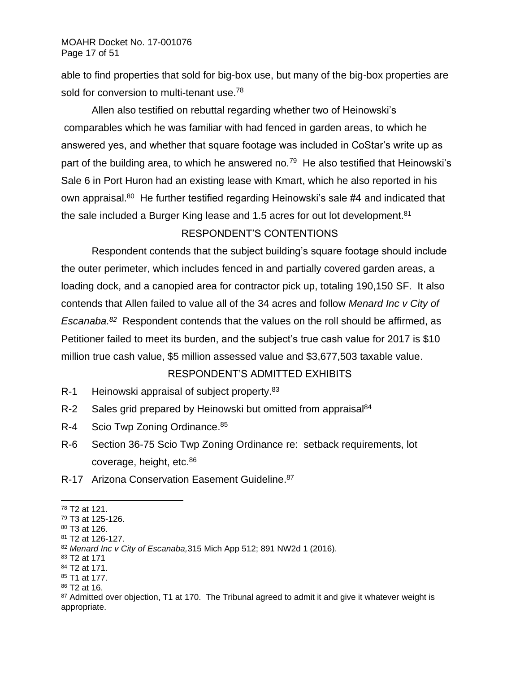able to find properties that sold for big-box use, but many of the big-box properties are sold for conversion to multi-tenant use.<sup>78</sup>

Allen also testified on rebuttal regarding whether two of Heinowski's comparables which he was familiar with had fenced in garden areas, to which he answered yes, and whether that square footage was included in CoStar's write up as part of the building area, to which he answered no.<sup>79</sup> He also testified that Heinowski's Sale 6 in Port Huron had an existing lease with Kmart, which he also reported in his own appraisal.<sup>80</sup> He further testified regarding Heinowski's sale #4 and indicated that the sale included a Burger King lease and 1.5 acres for out lot development.<sup>81</sup>

# RESPONDENT'S CONTENTIONS

Respondent contends that the subject building's square footage should include the outer perimeter, which includes fenced in and partially covered garden areas, a loading dock, and a canopied area for contractor pick up, totaling 190,150 SF. It also contends that Allen failed to value all of the 34 acres and follow *Menard Inc v City of*  Escanaba.<sup>82</sup> Respondent contends that the values on the roll should be affirmed, as Petitioner failed to meet its burden, and the subject's true cash value for 2017 is \$10 million true cash value, \$5 million assessed value and \$3,677,503 taxable value.

# RESPONDENT'S ADMITTED EXHIBITS

- R-1 Heinowski appraisal of subject property.<sup>83</sup>
- R-2 Sales grid prepared by Heinowski but omitted from appraisal<sup>84</sup>
- R-4 Scio Twp Zoning Ordinance.<sup>85</sup>
- R-6 Section 36-75 Scio Twp Zoning Ordinance re: setback requirements, lot coverage, height, etc.<sup>86</sup>
- R-17 Arizona Conservation Easement Guideline.<sup>87</sup>

<sup>78</sup> T2 at 121.

<sup>79</sup> T3 at 125-126.

<sup>80</sup> T3 at 126.

<sup>81</sup> T2 at 126-127.

<sup>82</sup> *Menard Inc v City of Escanaba,*315 Mich App 512; 891 NW2d 1 (2016).

<sup>83</sup> T2 at 171

<sup>84</sup> T2 at 171.

<sup>85</sup> T1 at 177.

<sup>86</sup> T2 at 16.

<sup>87</sup> Admitted over objection, T1 at 170. The Tribunal agreed to admit it and give it whatever weight is appropriate.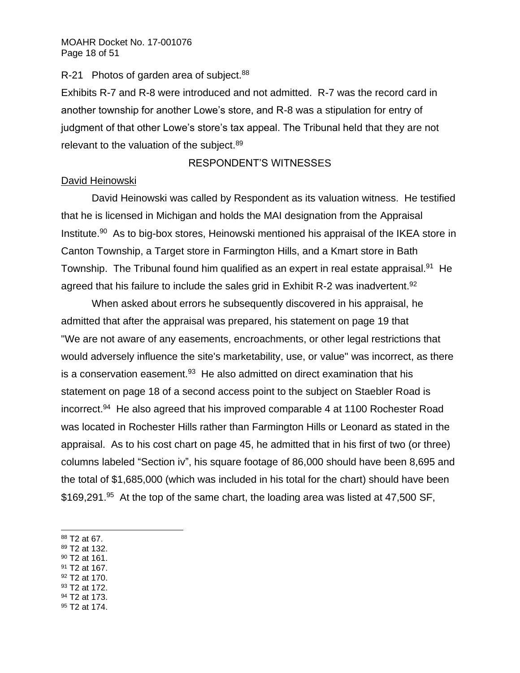## R-21 Photos of garden area of subject.<sup>88</sup>

Exhibits R-7 and R-8 were introduced and not admitted. R-7 was the record card in another township for another Lowe's store, and R-8 was a stipulation for entry of judgment of that other Lowe's store's tax appeal. The Tribunal held that they are not relevant to the valuation of the subject.<sup>89</sup>

# RESPONDENT'S WITNESSES

## David Heinowski

David Heinowski was called by Respondent as its valuation witness. He testified that he is licensed in Michigan and holds the MAI designation from the Appraisal Institute.<sup>90</sup> As to big-box stores, Heinowski mentioned his appraisal of the IKEA store in Canton Township, a Target store in Farmington Hills, and a Kmart store in Bath Township. The Tribunal found him qualified as an expert in real estate appraisal.<sup>91</sup> He agreed that his failure to include the sales grid in Exhibit R-2 was inadvertent.<sup>92</sup>

When asked about errors he subsequently discovered in his appraisal, he admitted that after the appraisal was prepared, his statement on page 19 that "We are not aware of any easements, encroachments, or other legal restrictions that would adversely influence the site's marketability, use, or value" was incorrect, as there is a conservation easement. $93$  He also admitted on direct examination that his statement on page 18 of a second access point to the subject on Staebler Road is incorrect.<sup>94</sup> He also agreed that his improved comparable 4 at 1100 Rochester Road was located in Rochester Hills rather than Farmington Hills or Leonard as stated in the appraisal. As to his cost chart on page 45, he admitted that in his first of two (or three) columns labeled "Section iv", his square footage of 86,000 should have been 8,695 and the total of \$1,685,000 (which was included in his total for the chart) should have been \$169,291.<sup>95</sup> At the top of the same chart, the loading area was listed at 47,500 SF,

- <sup>89</sup> T2 at 132.
- $90$  T2 at 161.
- <sup>91</sup> T2 at 167.
- <sup>92</sup> T2 at 170.
- 93 T2 at 172. <sup>94</sup> T2 at 173.
- <sup>95</sup> T2 at 174.

<sup>88</sup> T2 at 67.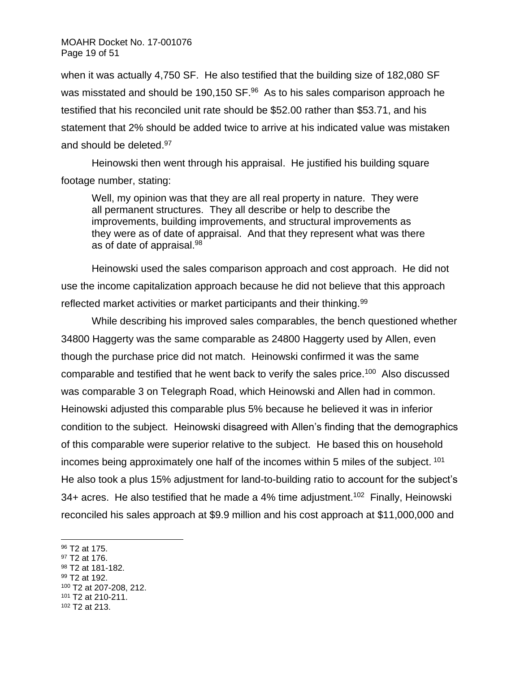when it was actually 4,750 SF. He also testified that the building size of 182,080 SF was misstated and should be 190,150 SF.<sup>96</sup> As to his sales comparison approach he testified that his reconciled unit rate should be \$52.00 rather than \$53.71, and his statement that 2% should be added twice to arrive at his indicated value was mistaken and should be deleted.<sup>97</sup>

Heinowski then went through his appraisal. He justified his building square footage number, stating:

Well, my opinion was that they are all real property in nature. They were all permanent structures. They all describe or help to describe the improvements, building improvements, and structural improvements as they were as of date of appraisal. And that they represent what was there as of date of appraisal.<sup>98</sup>

Heinowski used the sales comparison approach and cost approach. He did not use the income capitalization approach because he did not believe that this approach reflected market activities or market participants and their thinking.<sup>99</sup>

While describing his improved sales comparables, the bench questioned whether 34800 Haggerty was the same comparable as 24800 Haggerty used by Allen, even though the purchase price did not match. Heinowski confirmed it was the same comparable and testified that he went back to verify the sales price.<sup>100</sup> Also discussed was comparable 3 on Telegraph Road, which Heinowski and Allen had in common. Heinowski adjusted this comparable plus 5% because he believed it was in inferior condition to the subject. Heinowski disagreed with Allen's finding that the demographics of this comparable were superior relative to the subject. He based this on household incomes being approximately one half of the incomes within 5 miles of the subject.  $101$ He also took a plus 15% adjustment for land-to-building ratio to account for the subject's 34+ acres. He also testified that he made a 4% time adjustment.<sup>102</sup> Finally, Heinowski reconciled his sales approach at \$9.9 million and his cost approach at \$11,000,000 and

- <sup>97</sup> T2 at 176.
- <sup>98</sup> T2 at 181-182.
- <sup>99</sup> T2 at 192.

- <sup>101</sup> T2 at 210-211.
- <sup>102</sup> T2 at 213.

<sup>96</sup> T2 at 175.

<sup>100</sup> T2 at 207-208, 212.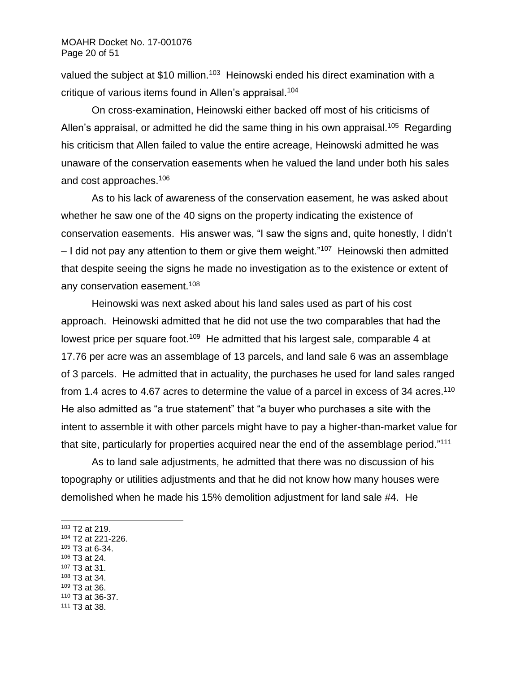valued the subject at \$10 million.<sup>103</sup> Heinowski ended his direct examination with a critique of various items found in Allen's appraisal.<sup>104</sup>

On cross-examination, Heinowski either backed off most of his criticisms of Allen's appraisal, or admitted he did the same thing in his own appraisal.<sup>105</sup> Regarding his criticism that Allen failed to value the entire acreage, Heinowski admitted he was unaware of the conservation easements when he valued the land under both his sales and cost approaches.<sup>106</sup>

As to his lack of awareness of the conservation easement, he was asked about whether he saw one of the 40 signs on the property indicating the existence of conservation easements. His answer was, "I saw the signs and, quite honestly, I didn't - I did not pay any attention to them or give them weight."<sup>107</sup> Heinowski then admitted that despite seeing the signs he made no investigation as to the existence or extent of any conservation easement.<sup>108</sup>

Heinowski was next asked about his land sales used as part of his cost approach. Heinowski admitted that he did not use the two comparables that had the lowest price per square foot.<sup>109</sup> He admitted that his largest sale, comparable 4 at 17.76 per acre was an assemblage of 13 parcels, and land sale 6 was an assemblage of 3 parcels. He admitted that in actuality, the purchases he used for land sales ranged from 1.4 acres to 4.67 acres to determine the value of a parcel in excess of 34 acres.<sup>110</sup> He also admitted as "a true statement" that "a buyer who purchases a site with the intent to assemble it with other parcels might have to pay a higher-than-market value for that site, particularly for properties acquired near the end of the assemblage period."<sup>111</sup>

As to land sale adjustments, he admitted that there was no discussion of his topography or utilities adjustments and that he did not know how many houses were demolished when he made his 15% demolition adjustment for land sale #4. He

- <sup>103</sup> T2 at 219.
- <sup>104</sup> T2 at 221-226.
- <sup>105</sup> T3 at 6-34.
- <sup>106</sup> T3 at 24.
- <sup>107</sup> T3 at 31.
- <sup>108</sup> T3 at 34. <sup>109</sup> T3 at 36.
- <sup>110</sup> T3 at 36-37.
- <sup>111</sup> T3 at 38.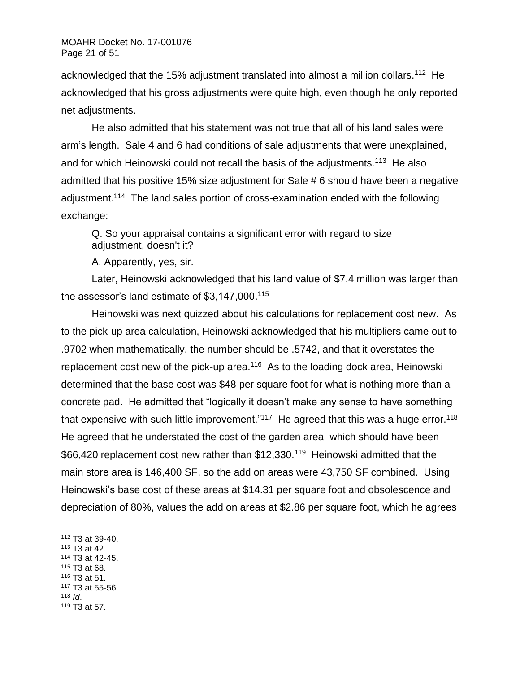acknowledged that the 15% adjustment translated into almost a million dollars.<sup>112</sup> He acknowledged that his gross adjustments were quite high, even though he only reported net adjustments.

He also admitted that his statement was not true that all of his land sales were arm's length. Sale 4 and 6 had conditions of sale adjustments that were unexplained, and for which Heinowski could not recall the basis of the adjustments.<sup>113</sup> He also admitted that his positive 15% size adjustment for Sale # 6 should have been a negative adjustment.<sup>114</sup> The land sales portion of cross-examination ended with the following exchange:

Q. So your appraisal contains a significant error with regard to size adjustment, doesn't it?

A. Apparently, yes, sir.

Later, Heinowski acknowledged that his land value of \$7.4 million was larger than the assessor's land estimate of \$3,147,000. 115

Heinowski was next quizzed about his calculations for replacement cost new. As to the pick-up area calculation, Heinowski acknowledged that his multipliers came out to .9702 when mathematically, the number should be .5742, and that it overstates the replacement cost new of the pick-up area. $116$  As to the loading dock area, Heinowski determined that the base cost was \$48 per square foot for what is nothing more than a concrete pad. He admitted that "logically it doesn't make any sense to have something that expensive with such little improvement."<sup>117</sup> He agreed that this was a huge error.<sup>118</sup> He agreed that he understated the cost of the garden area which should have been \$66,420 replacement cost new rather than \$12,330.<sup>119</sup> Heinowski admitted that the main store area is 146,400 SF, so the add on areas were 43,750 SF combined. Using Heinowski's base cost of these areas at \$14.31 per square foot and obsolescence and depreciation of 80%, values the add on areas at \$2.86 per square foot, which he agrees

- <sup>113</sup> T3 at 42.
- <sup>114</sup> T3 at 42-45.
- <sup>115</sup> T3 at 68.
- <sup>116</sup> T3 at 51. <sup>117</sup> T3 at 55-56.
- 118  $\overline{d}$ .
- <sup>119</sup> T3 at 57.

<sup>112</sup> T3 at 39-40.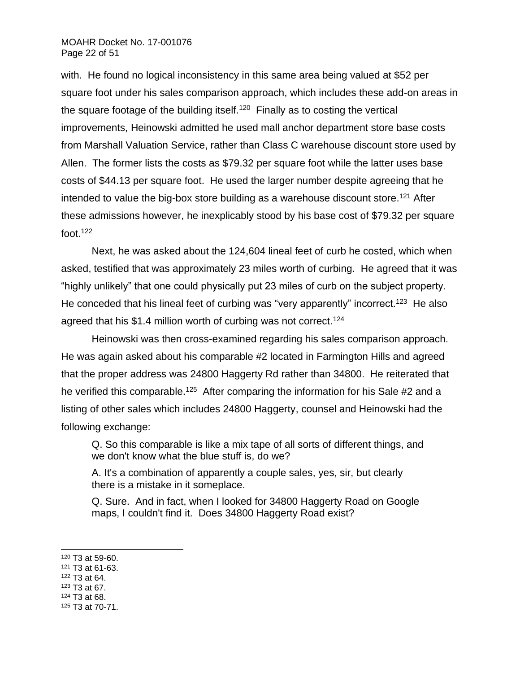### MOAHR Docket No. 17-001076 Page 22 of 51

with. He found no logical inconsistency in this same area being valued at \$52 per square foot under his sales comparison approach, which includes these add-on areas in the square footage of the building itself.<sup>120</sup> Finally as to costing the vertical improvements, Heinowski admitted he used mall anchor department store base costs from Marshall Valuation Service, rather than Class C warehouse discount store used by Allen. The former lists the costs as \$79.32 per square foot while the latter uses base costs of \$44.13 per square foot. He used the larger number despite agreeing that he intended to value the big-box store building as a warehouse discount store.<sup>121</sup> After these admissions however, he inexplicably stood by his base cost of \$79.32 per square foot.<sup>122</sup>

Next, he was asked about the 124,604 lineal feet of curb he costed, which when asked, testified that was approximately 23 miles worth of curbing. He agreed that it was "highly unlikely" that one could physically put 23 miles of curb on the subject property. He conceded that his lineal feet of curbing was "very apparently" incorrect.<sup>123</sup> He also agreed that his \$1.4 million worth of curbing was not correct.<sup>124</sup>

Heinowski was then cross-examined regarding his sales comparison approach. He was again asked about his comparable #2 located in Farmington Hills and agreed that the proper address was 24800 Haggerty Rd rather than 34800. He reiterated that he verified this comparable.<sup>125</sup> After comparing the information for his Sale #2 and a listing of other sales which includes 24800 Haggerty, counsel and Heinowski had the following exchange:

Q. So this comparable is like a mix tape of all sorts of different things, and we don't know what the blue stuff is, do we?

A. It's a combination of apparently a couple sales, yes, sir, but clearly there is a mistake in it someplace.

Q. Sure. And in fact, when I looked for 34800 Haggerty Road on Google maps, I couldn't find it. Does 34800 Haggerty Road exist?

- <sup>123</sup> T3 at 67.
- <sup>124</sup> T3 at 68.

 $120$  T3 at 59-60.

<sup>121</sup> T3 at 61-63.

<sup>122</sup> T3 at 64.

<sup>125</sup> T3 at 70-71.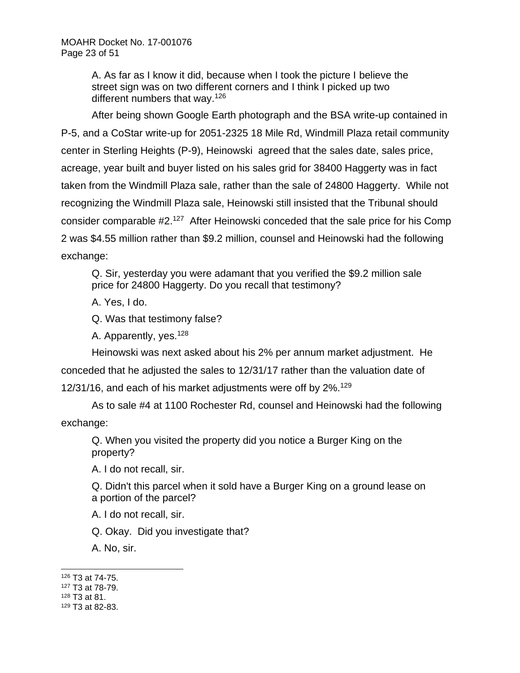A. As far as I know it did, because when I took the picture I believe the street sign was on two different corners and I think I picked up two different numbers that way.<sup>126</sup>

After being shown Google Earth photograph and the BSA write-up contained in P-5, and a CoStar write-up for 2051-2325 18 Mile Rd, Windmill Plaza retail community center in Sterling Heights (P-9), Heinowski agreed that the sales date, sales price, acreage, year built and buyer listed on his sales grid for 38400 Haggerty was in fact taken from the Windmill Plaza sale, rather than the sale of 24800 Haggerty. While not recognizing the Windmill Plaza sale, Heinowski still insisted that the Tribunal should consider comparable #2.<sup>127</sup> After Heinowski conceded that the sale price for his Comp 2 was \$4.55 million rather than \$9.2 million, counsel and Heinowski had the following exchange:

Q. Sir, yesterday you were adamant that you verified the \$9.2 million sale price for 24800 Haggerty. Do you recall that testimony?

A. Yes, I do.

Q. Was that testimony false?

A. Apparently, yes.<sup>128</sup>

Heinowski was next asked about his 2% per annum market adjustment. He conceded that he adjusted the sales to 12/31/17 rather than the valuation date of 12/31/16, and each of his market adjustments were off by 2%.<sup>129</sup>

As to sale #4 at 1100 Rochester Rd, counsel and Heinowski had the following exchange:

Q. When you visited the property did you notice a Burger King on the property?

A. I do not recall, sir.

Q. Didn't this parcel when it sold have a Burger King on a ground lease on a portion of the parcel?

A. I do not recall, sir.

Q. Okay. Did you investigate that?

A. No, sir.

- <sup>127</sup> T3 at 78-79.
- <sup>128</sup> T3 at 81.

<sup>126</sup> T3 at 74-75.

<sup>129</sup> T3 at 82-83.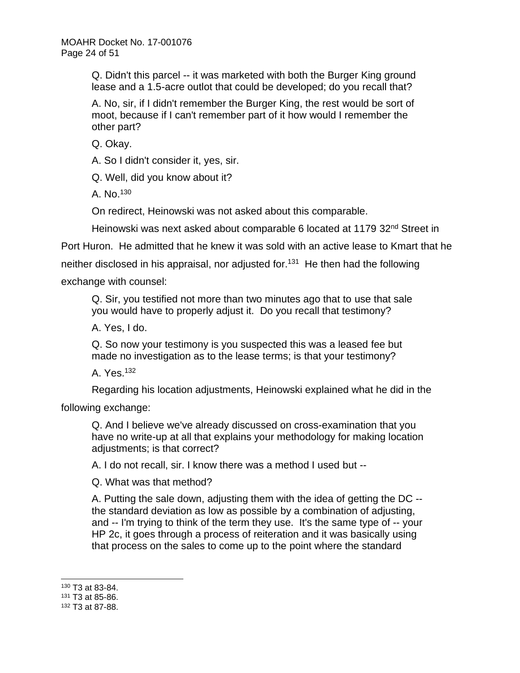Q. Didn't this parcel -- it was marketed with both the Burger King ground lease and a 1.5-acre outlot that could be developed; do you recall that?

A. No, sir, if I didn't remember the Burger King, the rest would be sort of moot, because if I can't remember part of it how would I remember the other part?

Q. Okay.

A. So I didn't consider it, yes, sir.

Q. Well, did you know about it?

A. No.<sup>130</sup>

On redirect, Heinowski was not asked about this comparable.

Heinowski was next asked about comparable 6 located at 1179 32<sup>nd</sup> Street in

Port Huron. He admitted that he knew it was sold with an active lease to Kmart that he

neither disclosed in his appraisal, nor adjusted for.<sup>131</sup> He then had the following

exchange with counsel:

Q. Sir, you testified not more than two minutes ago that to use that sale you would have to properly adjust it. Do you recall that testimony?

A. Yes, I do.

Q. So now your testimony is you suspected this was a leased fee but made no investigation as to the lease terms; is that your testimony?

A. Yes.<sup>132</sup>

Regarding his location adjustments, Heinowski explained what he did in the

following exchange:

Q. And I believe we've already discussed on cross-examination that you have no write-up at all that explains your methodology for making location adjustments; is that correct?

A. I do not recall, sir. I know there was a method I used but --

Q. What was that method?

A. Putting the sale down, adjusting them with the idea of getting the DC - the standard deviation as low as possible by a combination of adjusting, and -- I'm trying to think of the term they use. It's the same type of -- your HP 2c, it goes through a process of reiteration and it was basically using that process on the sales to come up to the point where the standard

<sup>130</sup> T3 at 83-84.

<sup>131</sup> T3 at 85-86.

<sup>132</sup> T3 at 87-88.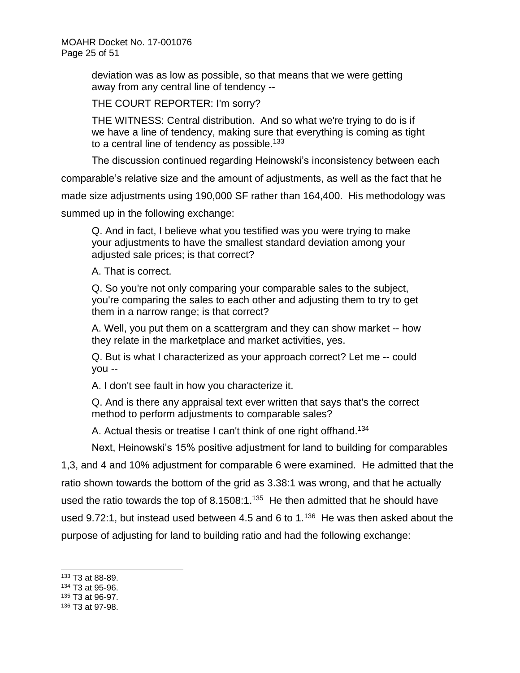deviation was as low as possible, so that means that we were getting away from any central line of tendency --

THE COURT REPORTER: I'm sorry?

THE WITNESS: Central distribution. And so what we're trying to do is if we have a line of tendency, making sure that everything is coming as tight to a central line of tendency as possible.<sup>133</sup>

The discussion continued regarding Heinowski's inconsistency between each

comparable's relative size and the amount of adjustments, as well as the fact that he

made size adjustments using 190,000 SF rather than 164,400. His methodology was

summed up in the following exchange:

Q. And in fact, I believe what you testified was you were trying to make your adjustments to have the smallest standard deviation among your adjusted sale prices; is that correct?

A. That is correct.

Q. So you're not only comparing your comparable sales to the subject, you're comparing the sales to each other and adjusting them to try to get them in a narrow range; is that correct?

A. Well, you put them on a scattergram and they can show market -- how they relate in the marketplace and market activities, yes.

Q. But is what I characterized as your approach correct? Let me -- could you --

A. I don't see fault in how you characterize it.

Q. And is there any appraisal text ever written that says that's the correct method to perform adjustments to comparable sales?

A. Actual thesis or treatise I can't think of one right offhand.<sup>134</sup>

Next, Heinowski's 15% positive adjustment for land to building for comparables

1,3, and 4 and 10% adjustment for comparable 6 were examined. He admitted that the

ratio shown towards the bottom of the grid as 3.38:1 was wrong, and that he actually

used the ratio towards the top of 8.1508:1. $135$  He then admitted that he should have

used 9.72:1, but instead used between 4.5 and 6 to  $1.136$  He was then asked about the

purpose of adjusting for land to building ratio and had the following exchange:

- <sup>134</sup> T3 at 95-96.
- <sup>135</sup> T3 at 96-97.

<sup>133</sup> T3 at 88-89.

<sup>136</sup> T3 at 97-98.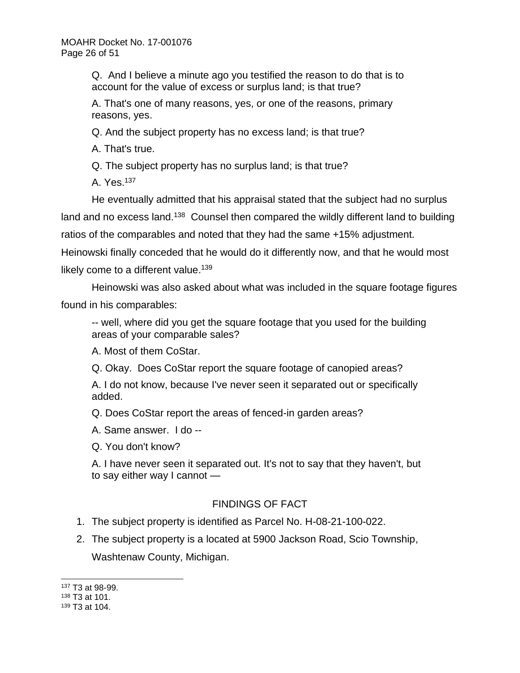Q. And I believe a minute ago you testified the reason to do that is to account for the value of excess or surplus land; is that true?

A. That's one of many reasons, yes, or one of the reasons, primary reasons, yes.

Q. And the subject property has no excess land; is that true?

A. That's true.

Q. The subject property has no surplus land; is that true?

A. Yes.<sup>137</sup>

He eventually admitted that his appraisal stated that the subject had no surplus land and no excess land.<sup>138</sup> Counsel then compared the wildly different land to building ratios of the comparables and noted that they had the same +15% adjustment. Heinowski finally conceded that he would do it differently now, and that he would most likely come to a different value.<sup>139</sup>

Heinowski was also asked about what was included in the square footage figures found in his comparables:

-- well, where did you get the square footage that you used for the building areas of your comparable sales?

A. Most of them CoStar.

Q. Okay. Does CoStar report the square footage of canopied areas?

A. I do not know, because I've never seen it separated out or specifically added.

Q. Does CoStar report the areas of fenced-in garden areas?

A. Same answer. I do --

Q. You don't know?

A. I have never seen it separated out. It's not to say that they haven't, but to say either way I cannot —

# FINDINGS OF FACT

- 1. The subject property is identified as Parcel No. H-08-21-100-022.
- 2. The subject property is a located at 5900 Jackson Road, Scio Township, Washtenaw County, Michigan.

<sup>137</sup> T3 at 98-99.

<sup>138</sup> T3 at 101.

<sup>139</sup> T3 at 104.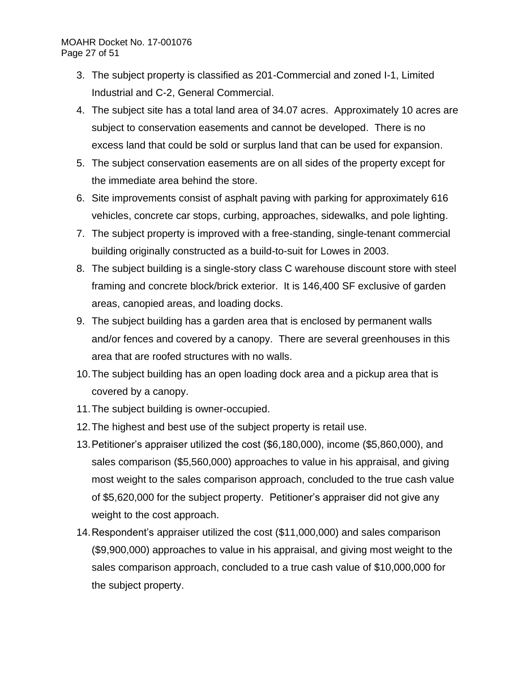## MOAHR Docket No. 17-001076 Page 27 of 51

- 3. The subject property is classified as 201-Commercial and zoned I-1, Limited Industrial and C-2, General Commercial.
- 4. The subject site has a total land area of 34.07 acres. Approximately 10 acres are subject to conservation easements and cannot be developed. There is no excess land that could be sold or surplus land that can be used for expansion.
- 5. The subject conservation easements are on all sides of the property except for the immediate area behind the store.
- 6. Site improvements consist of asphalt paving with parking for approximately 616 vehicles, concrete car stops, curbing, approaches, sidewalks, and pole lighting.
- 7. The subject property is improved with a free-standing, single-tenant commercial building originally constructed as a build-to-suit for Lowes in 2003.
- 8. The subject building is a single-story class C warehouse discount store with steel framing and concrete block/brick exterior. It is 146,400 SF exclusive of garden areas, canopied areas, and loading docks.
- 9. The subject building has a garden area that is enclosed by permanent walls and/or fences and covered by a canopy. There are several greenhouses in this area that are roofed structures with no walls.
- 10.The subject building has an open loading dock area and a pickup area that is covered by a canopy.
- 11.The subject building is owner-occupied.
- 12.The highest and best use of the subject property is retail use.
- 13.Petitioner's appraiser utilized the cost (\$6,180,000), income (\$5,860,000), and sales comparison (\$5,560,000) approaches to value in his appraisal, and giving most weight to the sales comparison approach, concluded to the true cash value of \$5,620,000 for the subject property. Petitioner's appraiser did not give any weight to the cost approach.
- 14.Respondent's appraiser utilized the cost (\$11,000,000) and sales comparison (\$9,900,000) approaches to value in his appraisal, and giving most weight to the sales comparison approach, concluded to a true cash value of \$10,000,000 for the subject property.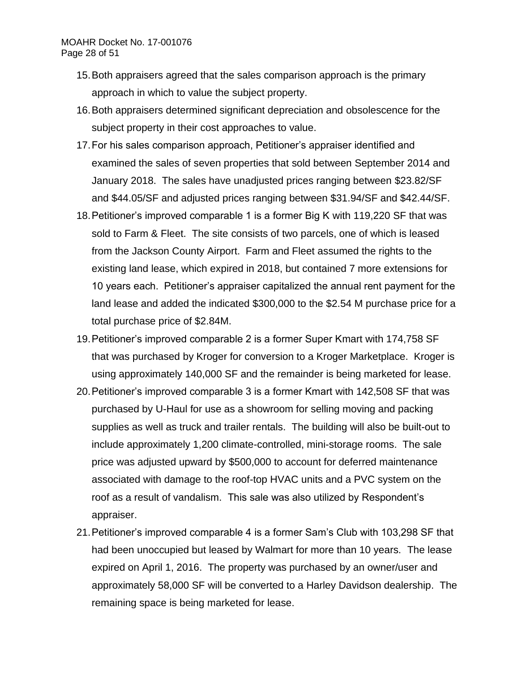## MOAHR Docket No. 17-001076 Page 28 of 51

- 15.Both appraisers agreed that the sales comparison approach is the primary approach in which to value the subject property.
- 16.Both appraisers determined significant depreciation and obsolescence for the subject property in their cost approaches to value.
- 17.For his sales comparison approach, Petitioner's appraiser identified and examined the sales of seven properties that sold between September 2014 and January 2018. The sales have unadjusted prices ranging between \$23.82/SF and \$44.05/SF and adjusted prices ranging between \$31.94/SF and \$42.44/SF.
- 18.Petitioner's improved comparable 1 is a former Big K with 119,220 SF that was sold to Farm & Fleet. The site consists of two parcels, one of which is leased from the Jackson County Airport. Farm and Fleet assumed the rights to the existing land lease, which expired in 2018, but contained 7 more extensions for 10 years each. Petitioner's appraiser capitalized the annual rent payment for the land lease and added the indicated \$300,000 to the \$2.54 M purchase price for a total purchase price of \$2.84M.
- 19.Petitioner's improved comparable 2 is a former Super Kmart with 174,758 SF that was purchased by Kroger for conversion to a Kroger Marketplace. Kroger is using approximately 140,000 SF and the remainder is being marketed for lease.
- 20.Petitioner's improved comparable 3 is a former Kmart with 142,508 SF that was purchased by U-Haul for use as a showroom for selling moving and packing supplies as well as truck and trailer rentals. The building will also be built-out to include approximately 1,200 climate-controlled, mini-storage rooms. The sale price was adjusted upward by \$500,000 to account for deferred maintenance associated with damage to the roof-top HVAC units and a PVC system on the roof as a result of vandalism. This sale was also utilized by Respondent's appraiser.
- 21.Petitioner's improved comparable 4 is a former Sam's Club with 103,298 SF that had been unoccupied but leased by Walmart for more than 10 years. The lease expired on April 1, 2016. The property was purchased by an owner/user and approximately 58,000 SF will be converted to a Harley Davidson dealership. The remaining space is being marketed for lease.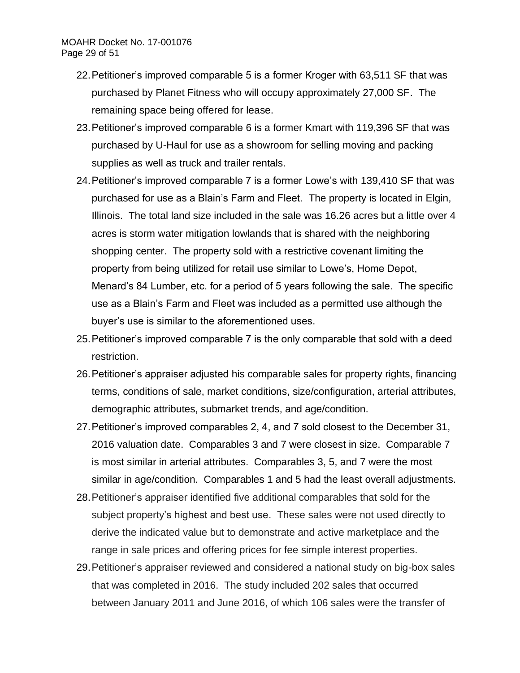- 22.Petitioner's improved comparable 5 is a former Kroger with 63,511 SF that was purchased by Planet Fitness who will occupy approximately 27,000 SF. The remaining space being offered for lease.
- 23.Petitioner's improved comparable 6 is a former Kmart with 119,396 SF that was purchased by U-Haul for use as a showroom for selling moving and packing supplies as well as truck and trailer rentals.
- 24.Petitioner's improved comparable 7 is a former Lowe's with 139,410 SF that was purchased for use as a Blain's Farm and Fleet. The property is located in Elgin, Illinois. The total land size included in the sale was 16.26 acres but a little over 4 acres is storm water mitigation lowlands that is shared with the neighboring shopping center. The property sold with a restrictive covenant limiting the property from being utilized for retail use similar to Lowe's, Home Depot, Menard's 84 Lumber, etc. for a period of 5 years following the sale. The specific use as a Blain's Farm and Fleet was included as a permitted use although the buyer's use is similar to the aforementioned uses.
- 25.Petitioner's improved comparable 7 is the only comparable that sold with a deed restriction.
- 26.Petitioner's appraiser adjusted his comparable sales for property rights, financing terms, conditions of sale, market conditions, size/configuration, arterial attributes, demographic attributes, submarket trends, and age/condition.
- 27.Petitioner's improved comparables 2, 4, and 7 sold closest to the December 31, 2016 valuation date. Comparables 3 and 7 were closest in size. Comparable 7 is most similar in arterial attributes. Comparables 3, 5, and 7 were the most similar in age/condition. Comparables 1 and 5 had the least overall adjustments.
- 28.Petitioner's appraiser identified five additional comparables that sold for the subject property's highest and best use. These sales were not used directly to derive the indicated value but to demonstrate and active marketplace and the range in sale prices and offering prices for fee simple interest properties.
- 29.Petitioner's appraiser reviewed and considered a national study on big-box sales that was completed in 2016. The study included 202 sales that occurred between January 2011 and June 2016, of which 106 sales were the transfer of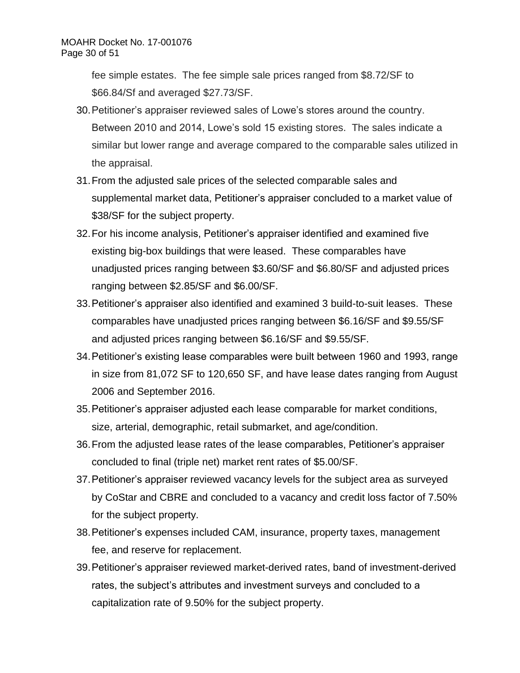fee simple estates. The fee simple sale prices ranged from \$8.72/SF to \$66.84/Sf and averaged \$27.73/SF.

- 30.Petitioner's appraiser reviewed sales of Lowe's stores around the country. Between 2010 and 2014, Lowe's sold 15 existing stores. The sales indicate a similar but lower range and average compared to the comparable sales utilized in the appraisal.
- 31.From the adjusted sale prices of the selected comparable sales and supplemental market data, Petitioner's appraiser concluded to a market value of \$38/SF for the subject property.
- 32.For his income analysis, Petitioner's appraiser identified and examined five existing big-box buildings that were leased. These comparables have unadjusted prices ranging between \$3.60/SF and \$6.80/SF and adjusted prices ranging between \$2.85/SF and \$6.00/SF.
- 33.Petitioner's appraiser also identified and examined 3 build-to-suit leases. These comparables have unadjusted prices ranging between \$6.16/SF and \$9.55/SF and adjusted prices ranging between \$6.16/SF and \$9.55/SF.
- 34.Petitioner's existing lease comparables were built between 1960 and 1993, range in size from 81,072 SF to 120,650 SF, and have lease dates ranging from August 2006 and September 2016.
- 35.Petitioner's appraiser adjusted each lease comparable for market conditions, size, arterial, demographic, retail submarket, and age/condition.
- 36.From the adjusted lease rates of the lease comparables, Petitioner's appraiser concluded to final (triple net) market rent rates of \$5.00/SF.
- 37.Petitioner's appraiser reviewed vacancy levels for the subject area as surveyed by CoStar and CBRE and concluded to a vacancy and credit loss factor of 7.50% for the subject property.
- 38.Petitioner's expenses included CAM, insurance, property taxes, management fee, and reserve for replacement.
- 39.Petitioner's appraiser reviewed market-derived rates, band of investment-derived rates, the subject's attributes and investment surveys and concluded to a capitalization rate of 9.50% for the subject property.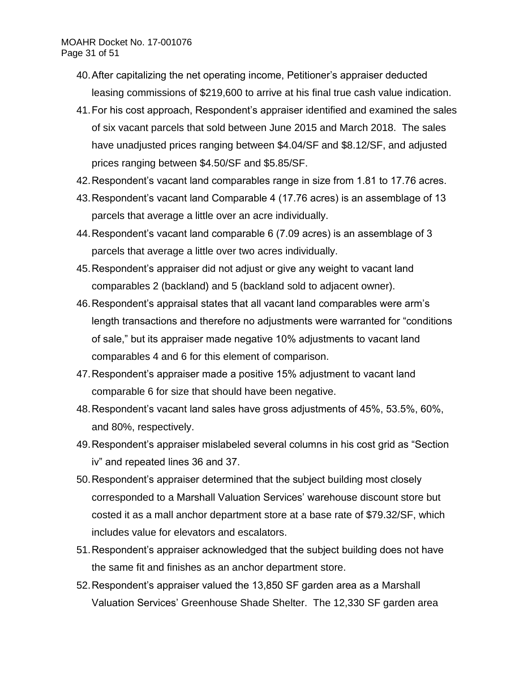- 40.After capitalizing the net operating income, Petitioner's appraiser deducted leasing commissions of \$219,600 to arrive at his final true cash value indication.
- 41.For his cost approach, Respondent's appraiser identified and examined the sales of six vacant parcels that sold between June 2015 and March 2018. The sales have unadjusted prices ranging between \$4.04/SF and \$8.12/SF, and adjusted prices ranging between \$4.50/SF and \$5.85/SF.
- 42.Respondent's vacant land comparables range in size from 1.81 to 17.76 acres.
- 43.Respondent's vacant land Comparable 4 (17.76 acres) is an assemblage of 13 parcels that average a little over an acre individually.
- 44.Respondent's vacant land comparable 6 (7.09 acres) is an assemblage of 3 parcels that average a little over two acres individually.
- 45.Respondent's appraiser did not adjust or give any weight to vacant land comparables 2 (backland) and 5 (backland sold to adjacent owner).
- 46.Respondent's appraisal states that all vacant land comparables were arm's length transactions and therefore no adjustments were warranted for "conditions of sale," but its appraiser made negative 10% adjustments to vacant land comparables 4 and 6 for this element of comparison.
- 47.Respondent's appraiser made a positive 15% adjustment to vacant land comparable 6 for size that should have been negative.
- 48.Respondent's vacant land sales have gross adjustments of 45%, 53.5%, 60%, and 80%, respectively.
- 49.Respondent's appraiser mislabeled several columns in his cost grid as "Section iv" and repeated lines 36 and 37.
- 50.Respondent's appraiser determined that the subject building most closely corresponded to a Marshall Valuation Services' warehouse discount store but costed it as a mall anchor department store at a base rate of \$79.32/SF, which includes value for elevators and escalators.
- 51.Respondent's appraiser acknowledged that the subject building does not have the same fit and finishes as an anchor department store.
- 52.Respondent's appraiser valued the 13,850 SF garden area as a Marshall Valuation Services' Greenhouse Shade Shelter. The 12,330 SF garden area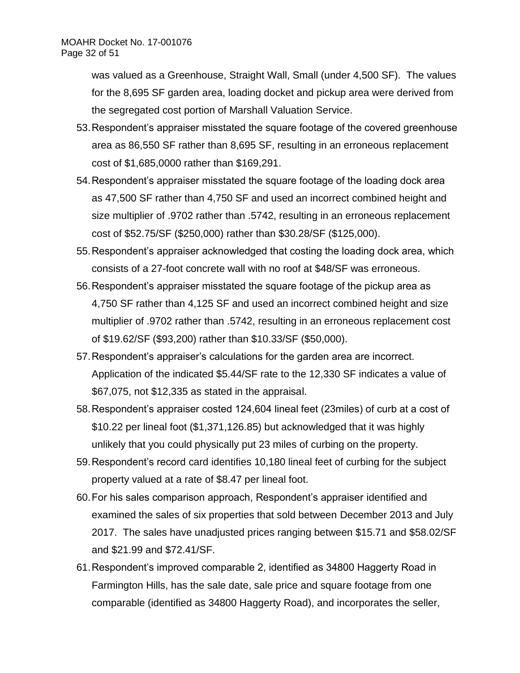was valued as a Greenhouse, Straight Wall, Small (under 4,500 SF). The values for the 8,695 SF garden area, loading docket and pickup area were derived from the segregated cost portion of Marshall Valuation Service.

- 53.Respondent's appraiser misstated the square footage of the covered greenhouse area as 86,550 SF rather than 8,695 SF, resulting in an erroneous replacement cost of \$1,685,0000 rather than \$169,291.
- 54.Respondent's appraiser misstated the square footage of the loading dock area as 47,500 SF rather than 4,750 SF and used an incorrect combined height and size multiplier of .9702 rather than .5742, resulting in an erroneous replacement cost of \$52.75/SF (\$250,000) rather than \$30.28/SF (\$125,000).
- 55.Respondent's appraiser acknowledged that costing the loading dock area, which consists of a 27-foot concrete wall with no roof at \$48/SF was erroneous.
- 56.Respondent's appraiser misstated the square footage of the pickup area as 4,750 SF rather than 4,125 SF and used an incorrect combined height and size multiplier of .9702 rather than .5742, resulting in an erroneous replacement cost of \$19.62/SF (\$93,200) rather than \$10.33/SF (\$50,000).
- 57.Respondent's appraiser's calculations for the garden area are incorrect. Application of the indicated \$5.44/SF rate to the 12,330 SF indicates a value of \$67,075, not \$12,335 as stated in the appraisal.
- 58.Respondent's appraiser costed 124,604 lineal feet (23miles) of curb at a cost of \$10.22 per lineal foot (\$1,371,126.85) but acknowledged that it was highly unlikely that you could physically put 23 miles of curbing on the property.
- 59.Respondent's record card identifies 10,180 lineal feet of curbing for the subject property valued at a rate of \$8.47 per lineal foot.
- 60.For his sales comparison approach, Respondent's appraiser identified and examined the sales of six properties that sold between December 2013 and July 2017. The sales have unadjusted prices ranging between \$15.71 and \$58.02/SF and \$21.99 and \$72.41/SF.
- 61.Respondent's improved comparable 2, identified as 34800 Haggerty Road in Farmington Hills, has the sale date, sale price and square footage from one comparable (identified as 34800 Haggerty Road), and incorporates the seller,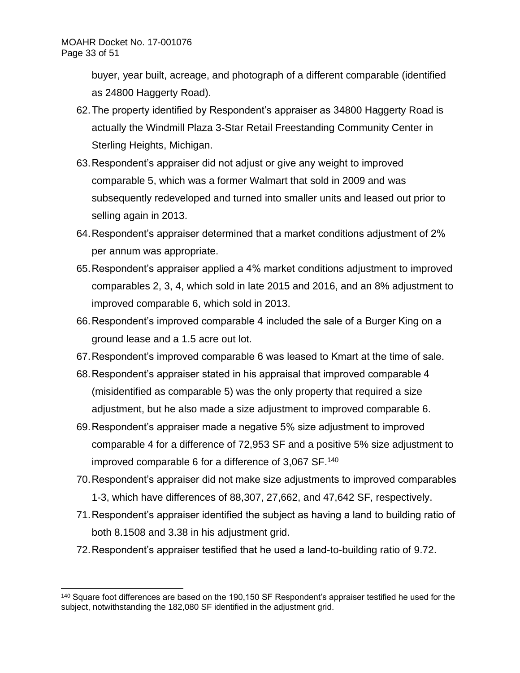buyer, year built, acreage, and photograph of a different comparable (identified as 24800 Haggerty Road).

- 62.The property identified by Respondent's appraiser as 34800 Haggerty Road is actually the Windmill Plaza 3-Star Retail Freestanding Community Center in Sterling Heights, Michigan.
- 63.Respondent's appraiser did not adjust or give any weight to improved comparable 5, which was a former Walmart that sold in 2009 and was subsequently redeveloped and turned into smaller units and leased out prior to selling again in 2013.
- 64.Respondent's appraiser determined that a market conditions adjustment of 2% per annum was appropriate.
- 65.Respondent's appraiser applied a 4% market conditions adjustment to improved comparables 2, 3, 4, which sold in late 2015 and 2016, and an 8% adjustment to improved comparable 6, which sold in 2013.
- 66.Respondent's improved comparable 4 included the sale of a Burger King on a ground lease and a 1.5 acre out lot.
- 67.Respondent's improved comparable 6 was leased to Kmart at the time of sale.
- 68.Respondent's appraiser stated in his appraisal that improved comparable 4 (misidentified as comparable 5) was the only property that required a size adjustment, but he also made a size adjustment to improved comparable 6.
- 69.Respondent's appraiser made a negative 5% size adjustment to improved comparable 4 for a difference of 72,953 SF and a positive 5% size adjustment to improved comparable 6 for a difference of 3,067 SF.<sup>140</sup>
- 70.Respondent's appraiser did not make size adjustments to improved comparables 1-3, which have differences of 88,307, 27,662, and 47,642 SF, respectively.
- 71.Respondent's appraiser identified the subject as having a land to building ratio of both 8.1508 and 3.38 in his adjustment grid.
- 72.Respondent's appraiser testified that he used a land-to-building ratio of 9.72.

<sup>140</sup> Square foot differences are based on the 190,150 SF Respondent's appraiser testified he used for the subject, notwithstanding the 182,080 SF identified in the adjustment grid.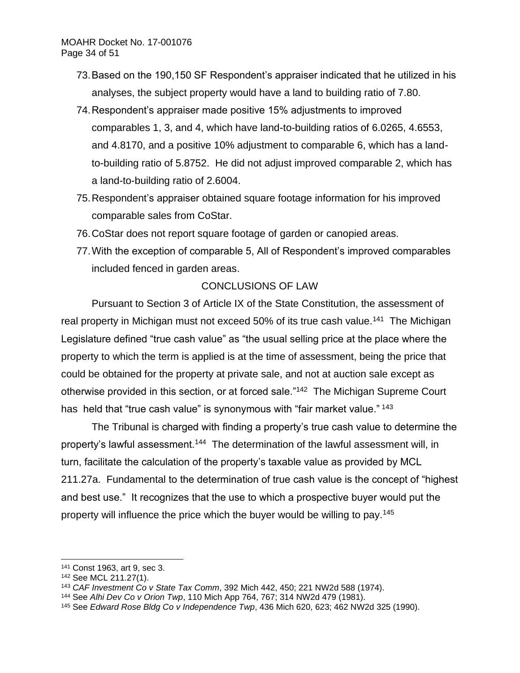- 73.Based on the 190,150 SF Respondent's appraiser indicated that he utilized in his analyses, the subject property would have a land to building ratio of 7.80.
- 74.Respondent's appraiser made positive 15% adjustments to improved comparables 1, 3, and 4, which have land-to-building ratios of 6.0265, 4.6553, and 4.8170, and a positive 10% adjustment to comparable 6, which has a landto-building ratio of 5.8752. He did not adjust improved comparable 2, which has a land-to-building ratio of 2.6004.
- 75.Respondent's appraiser obtained square footage information for his improved comparable sales from CoStar.
- 76.CoStar does not report square footage of garden or canopied areas.
- 77.With the exception of comparable 5, All of Respondent's improved comparables included fenced in garden areas.

# CONCLUSIONS OF LAW

Pursuant to Section 3 of Article IX of the State Constitution, the assessment of real property in Michigan must not exceed 50% of its true cash value.<sup>141</sup> The Michigan Legislature defined "true cash value" as "the usual selling price at the place where the property to which the term is applied is at the time of assessment, being the price that could be obtained for the property at private sale, and not at auction sale except as otherwise provided in this section, or at forced sale."<sup>142</sup> The Michigan Supreme Court has held that "true cash value" is synonymous with "fair market value." 143

The Tribunal is charged with finding a property's true cash value to determine the property's lawful assessment.<sup>144</sup> The determination of the lawful assessment will, in turn, facilitate the calculation of the property's taxable value as provided by MCL 211.27a. Fundamental to the determination of true cash value is the concept of "highest and best use." It recognizes that the use to which a prospective buyer would put the property will influence the price which the buyer would be willing to pay.<sup>145</sup>

<sup>141</sup> Const 1963, art 9, sec 3.

<sup>142</sup> See MCL 211.27(1).

<sup>143</sup> *CAF Investment Co v State Tax Comm*, 392 Mich 442, 450; 221 NW2d 588 (1974).

<sup>144</sup> See *Alhi Dev Co v Orion Twp*, 110 Mich App 764, 767; 314 NW2d 479 (1981).

<sup>145</sup> See *Edward Rose Bldg Co v Independence Twp*, 436 Mich 620, 623; 462 NW2d 325 (1990).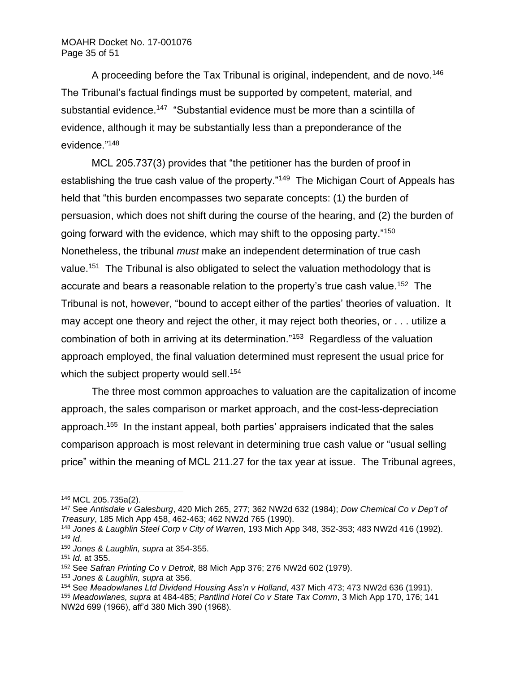A proceeding before the Tax Tribunal is original, independent, and de novo.<sup>146</sup> The Tribunal's factual findings must be supported by competent, material, and substantial evidence.<sup>147</sup> "Substantial evidence must be more than a scintilla of evidence, although it may be substantially less than a preponderance of the evidence."<sup>148</sup>

MCL 205.737(3) provides that "the petitioner has the burden of proof in establishing the true cash value of the property."<sup>149</sup> The Michigan Court of Appeals has held that "this burden encompasses two separate concepts: (1) the burden of persuasion, which does not shift during the course of the hearing, and (2) the burden of going forward with the evidence, which may shift to the opposing party."<sup>150</sup> Nonetheless, the tribunal *must* make an independent determination of true cash value.<sup>151</sup> The Tribunal is also obligated to select the valuation methodology that is accurate and bears a reasonable relation to the property's true cash value.<sup>152</sup> The Tribunal is not, however, "bound to accept either of the parties' theories of valuation. It may accept one theory and reject the other, it may reject both theories, or . . . utilize a combination of both in arriving at its determination."<sup>153</sup> Regardless of the valuation approach employed, the final valuation determined must represent the usual price for which the subject property would sell.<sup>154</sup>

The three most common approaches to valuation are the capitalization of income approach, the sales comparison or market approach, and the cost-less-depreciation approach.<sup>155</sup> In the instant appeal, both parties' appraisers indicated that the sales comparison approach is most relevant in determining true cash value or "usual selling price" within the meaning of MCL 211.27 for the tax year at issue. The Tribunal agrees,

<sup>146</sup> MCL 205.735a(2).

<sup>147</sup> See *Antisdale v Galesburg*, 420 Mich 265, 277; 362 NW2d 632 (1984); *Dow Chemical Co v Dep't of Treasury*, 185 Mich App 458, 462-463; 462 NW2d 765 (1990).

<sup>148</sup> *Jones & Laughlin Steel Corp v City of Warren*, 193 Mich App 348, 352-353; 483 NW2d 416 (1992). <sup>149</sup> *Id*.

<sup>150</sup> *Jones & Laughlin, supra* at 354-355.

<sup>151</sup> *Id.* at 355.

<sup>152</sup> See *Safran Printing Co v Detroit*, 88 Mich App 376; 276 NW2d 602 (1979).

<sup>153</sup> *Jones & Laughlin, supra* at 356.

<sup>154</sup> See *Meadowlanes Ltd Dividend Housing Ass'n v Holland*, 437 Mich 473; 473 NW2d 636 (1991). <sup>155</sup> *Meadowlanes, supra* at 484-485; *Pantlind Hotel Co v State Tax Comm*, 3 Mich App 170, 176; 141 NW2d 699 (1966), aff'd 380 Mich 390 (1968).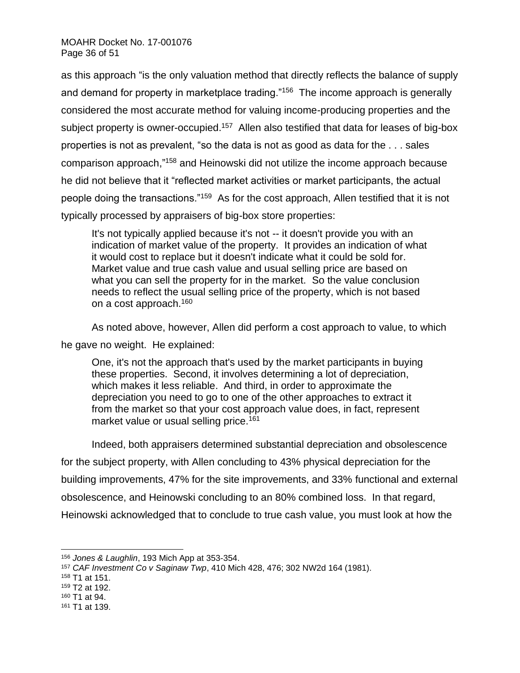as this approach "is the only valuation method that directly reflects the balance of supply and demand for property in marketplace trading."<sup>156</sup> The income approach is generally considered the most accurate method for valuing income-producing properties and the subject property is owner-occupied.<sup>157</sup> Allen also testified that data for leases of big-box properties is not as prevalent, "so the data is not as good as data for the . . . sales comparison approach,"<sup>158</sup> and Heinowski did not utilize the income approach because he did not believe that it "reflected market activities or market participants, the actual people doing the transactions."<sup>159</sup> As for the cost approach, Allen testified that it is not typically processed by appraisers of big-box store properties:

It's not typically applied because it's not -- it doesn't provide you with an indication of market value of the property. It provides an indication of what it would cost to replace but it doesn't indicate what it could be sold for. Market value and true cash value and usual selling price are based on what you can sell the property for in the market. So the value conclusion needs to reflect the usual selling price of the property, which is not based on a cost approach.<sup>160</sup>

As noted above, however, Allen did perform a cost approach to value, to which he gave no weight. He explained:

One, it's not the approach that's used by the market participants in buying these properties. Second, it involves determining a lot of depreciation, which makes it less reliable. And third, in order to approximate the depreciation you need to go to one of the other approaches to extract it from the market so that your cost approach value does, in fact, represent market value or usual selling price.<sup>161</sup>

Indeed, both appraisers determined substantial depreciation and obsolescence for the subject property, with Allen concluding to 43% physical depreciation for the building improvements, 47% for the site improvements, and 33% functional and external obsolescence, and Heinowski concluding to an 80% combined loss. In that regard, Heinowski acknowledged that to conclude to true cash value, you must look at how the

<sup>156</sup> *Jones & Laughlin*, 193 Mich App at 353-354.

<sup>157</sup> *CAF Investment Co v Saginaw Twp*, 410 Mich 428, 476; 302 NW2d 164 (1981).

<sup>158</sup> T1 at 151.

<sup>159</sup> T2 at 192.

<sup>160</sup> T1 at 94.

<sup>161</sup> T1 at 139.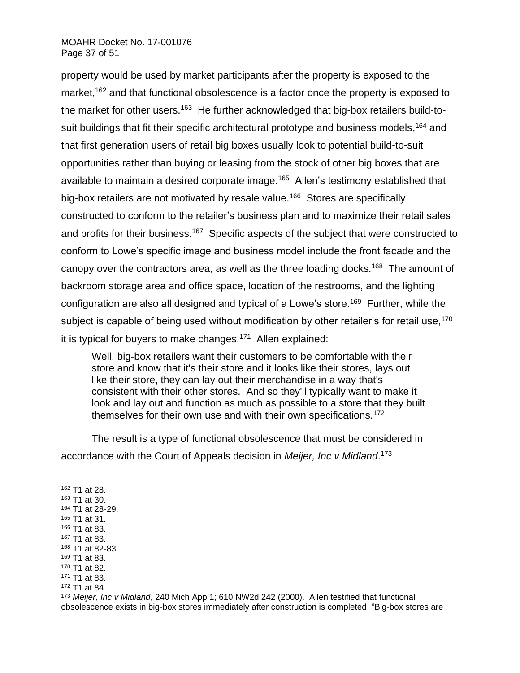## MOAHR Docket No. 17-001076 Page 37 of 51

property would be used by market participants after the property is exposed to the market,<sup>162</sup> and that functional obsolescence is a factor once the property is exposed to the market for other users.<sup>163</sup> He further acknowledged that big-box retailers build-tosuit buildings that fit their specific architectural prototype and business models, <sup>164</sup> and that first generation users of retail big boxes usually look to potential build-to-suit opportunities rather than buying or leasing from the stock of other big boxes that are available to maintain a desired corporate image.<sup>165</sup> Allen's testimony established that big-box retailers are not motivated by resale value.<sup>166</sup> Stores are specifically constructed to conform to the retailer's business plan and to maximize their retail sales and profits for their business.<sup>167</sup> Specific aspects of the subject that were constructed to conform to Lowe's specific image and business model include the front facade and the canopy over the contractors area, as well as the three loading docks.<sup>168</sup> The amount of backroom storage area and office space, location of the restrooms, and the lighting configuration are also all designed and typical of a Lowe's store.<sup>169</sup> Further, while the subject is capable of being used without modification by other retailer's for retail use,<sup>170</sup> it is typical for buyers to make changes.<sup>171</sup> Allen explained:

Well, big-box retailers want their customers to be comfortable with their store and know that it's their store and it looks like their stores, lays out like their store, they can lay out their merchandise in a way that's consistent with their other stores. And so they'll typically want to make it look and lay out and function as much as possible to a store that they built themselves for their own use and with their own specifications.<sup>172</sup>

The result is a type of functional obsolescence that must be considered in accordance with the Court of Appeals decision in *Meijer, Inc v Midland*. 173

<sup>162</sup> T1 at 28.

<sup>163</sup> T1 at 30.

<sup>166</sup> T1 at 83. <sup>167</sup> T1 at 83.

<sup>164</sup> T1 at 28-29.

<sup>165</sup> T1 at 31.

<sup>168</sup> T1 at 82-83.

<sup>169</sup> T1 at 83.

<sup>170</sup> T1 at 82.

<sup>171</sup> T1 at 83.

<sup>172</sup> T1 at 84.

<sup>173</sup> *Meijer, Inc v Midland*, 240 Mich App 1; 610 NW2d 242 (2000). Allen testified that functional obsolescence exists in big-box stores immediately after construction is completed: "Big-box stores are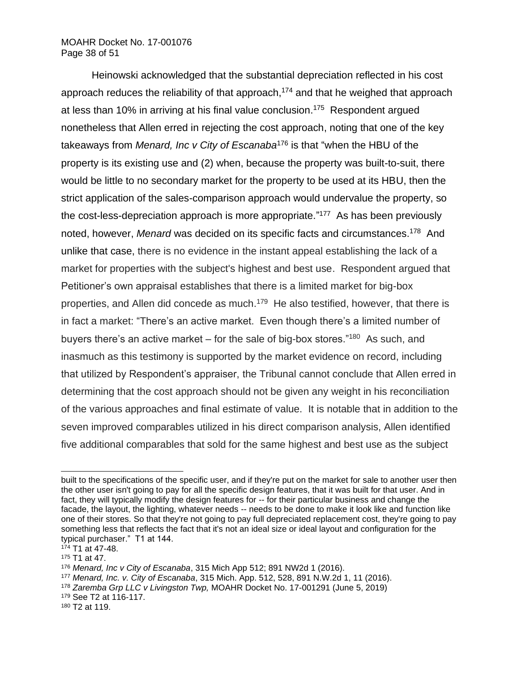## MOAHR Docket No. 17-001076 Page 38 of 51

Heinowski acknowledged that the substantial depreciation reflected in his cost approach reduces the reliability of that approach,<sup>174</sup> and that he weighed that approach at less than 10% in arriving at his final value conclusion. 175 Respondent argued nonetheless that Allen erred in rejecting the cost approach, noting that one of the key takeaways from *Menard, Inc v City of Escanaba*<sup>176</sup> is that "when the HBU of the property is its existing use and (2) when, because the property was built-to-suit, there would be little to no secondary market for the property to be used at its HBU, then the strict application of the sales-comparison approach would undervalue the property, so the cost-less-depreciation approach is more appropriate."<sup>177</sup> As has been previously noted, however, *Menard* was decided on its specific facts and circumstances. 178 And unlike that case, there is no evidence in the instant appeal establishing the lack of a market for properties with the subject's highest and best use. Respondent argued that Petitioner's own appraisal establishes that there is a limited market for big-box properties, and Allen did concede as much.<sup>179</sup> He also testified, however, that there is in fact a market: "There's an active market. Even though there's a limited number of buyers there's an active market – for the sale of big-box stores."<sup>180</sup> As such, and inasmuch as this testimony is supported by the market evidence on record, including that utilized by Respondent's appraiser, the Tribunal cannot conclude that Allen erred in determining that the cost approach should not be given any weight in his reconciliation of the various approaches and final estimate of value. It is notable that in addition to the seven improved comparables utilized in his direct comparison analysis, Allen identified five additional comparables that sold for the same highest and best use as the subject

built to the specifications of the specific user, and if they're put on the market for sale to another user then the other user isn't going to pay for all the specific design features, that it was built for that user. And in fact, they will typically modify the design features for -- for their particular business and change the facade, the layout, the lighting, whatever needs -- needs to be done to make it look like and function like one of their stores. So that they're not going to pay full depreciated replacement cost, they're going to pay something less that reflects the fact that it's not an ideal size or ideal layout and configuration for the typical purchaser." T1 at 144.

 $174$  T1 at 47-48.

<sup>175</sup> T1 at 47.

<sup>176</sup> *Menard, Inc v City of Escanaba*, 315 Mich App 512; 891 NW2d 1 (2016).

<sup>177</sup> *Menard, Inc. v. City of Escanaba*, 315 Mich. App. 512, 528, 891 N.W.2d 1, 11 (2016).

<sup>178</sup> *Zaremba Grp LLC v Livingston Twp,* MOAHR Docket No. 17-001291 (June 5, 2019)

<sup>179</sup> See T2 at 116-117.

<sup>180</sup> T2 at 119.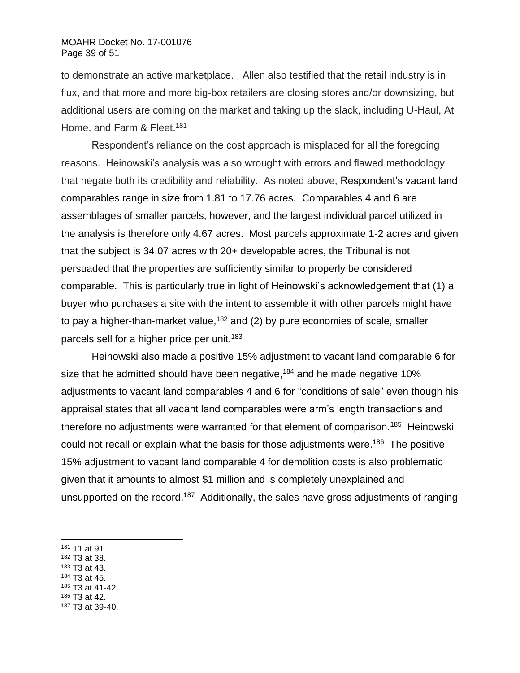to demonstrate an active marketplace. Allen also testified that the retail industry is in flux, and that more and more big-box retailers are closing stores and/or downsizing, but additional users are coming on the market and taking up the slack, including U-Haul, At Home, and Farm & Fleet.<sup>181</sup>

Respondent's reliance on the cost approach is misplaced for all the foregoing reasons. Heinowski's analysis was also wrought with errors and flawed methodology that negate both its credibility and reliability. As noted above, Respondent's vacant land comparables range in size from 1.81 to 17.76 acres. Comparables 4 and 6 are assemblages of smaller parcels, however, and the largest individual parcel utilized in the analysis is therefore only 4.67 acres. Most parcels approximate 1-2 acres and given that the subject is 34.07 acres with 20+ developable acres, the Tribunal is not persuaded that the properties are sufficiently similar to properly be considered comparable. This is particularly true in light of Heinowski's acknowledgement that (1) a buyer who purchases a site with the intent to assemble it with other parcels might have to pay a higher-than-market value,<sup>182</sup> and (2) by pure economies of scale, smaller parcels sell for a higher price per unit.<sup>183</sup>

Heinowski also made a positive 15% adjustment to vacant land comparable 6 for size that he admitted should have been negative,<sup>184</sup> and he made negative 10% adjustments to vacant land comparables 4 and 6 for "conditions of sale" even though his appraisal states that all vacant land comparables were arm's length transactions and therefore no adjustments were warranted for that element of comparison.<sup>185</sup> Heinowski could not recall or explain what the basis for those adjustments were.<sup>186</sup> The positive 15% adjustment to vacant land comparable 4 for demolition costs is also problematic given that it amounts to almost \$1 million and is completely unexplained and unsupported on the record.<sup>187</sup> Additionally, the sales have gross adjustments of ranging

- <sup>182</sup> T3 at 38.
- <sup>183</sup> T3 at 43.
- <sup>184</sup> T3 at 45.
- <sup>185</sup> T3 at 41-42. <sup>186</sup> T3 at 42.
- <sup>187</sup> T3 at 39-40.

<sup>181</sup> T1 at 91.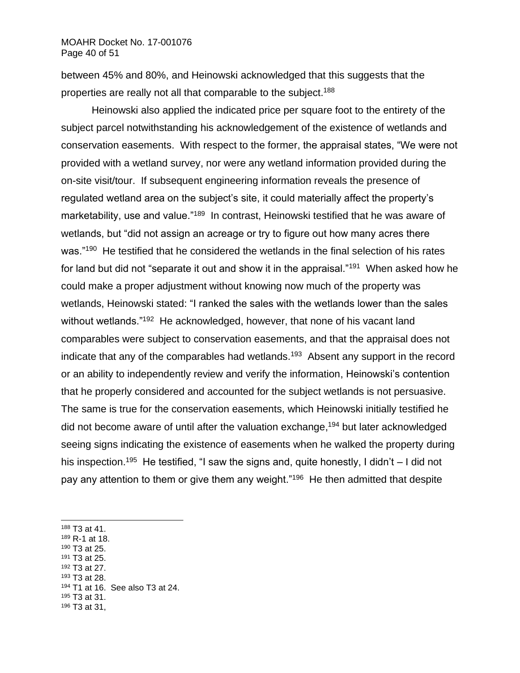between 45% and 80%, and Heinowski acknowledged that this suggests that the properties are really not all that comparable to the subject.<sup>188</sup>

Heinowski also applied the indicated price per square foot to the entirety of the subject parcel notwithstanding his acknowledgement of the existence of wetlands and conservation easements. With respect to the former, the appraisal states, "We were not provided with a wetland survey, nor were any wetland information provided during the on-site visit/tour. If subsequent engineering information reveals the presence of regulated wetland area on the subject's site, it could materially affect the property's marketability, use and value."<sup>189</sup> In contrast, Heinowski testified that he was aware of wetlands, but "did not assign an acreage or try to figure out how many acres there was."<sup>190</sup> He testified that he considered the wetlands in the final selection of his rates for land but did not "separate it out and show it in the appraisal."<sup>191</sup> When asked how he could make a proper adjustment without knowing now much of the property was wetlands, Heinowski stated: "I ranked the sales with the wetlands lower than the sales without wetlands."<sup>192</sup> He acknowledged, however, that none of his vacant land comparables were subject to conservation easements, and that the appraisal does not indicate that any of the comparables had wetlands.<sup>193</sup> Absent any support in the record or an ability to independently review and verify the information, Heinowski's contention that he properly considered and accounted for the subject wetlands is not persuasive. The same is true for the conservation easements, which Heinowski initially testified he did not become aware of until after the valuation exchange, <sup>194</sup> but later acknowledged seeing signs indicating the existence of easements when he walked the property during his inspection.<sup>195</sup> He testified, "I saw the signs and, quite honestly, I didn't – I did not pay any attention to them or give them any weight."<sup>196</sup> He then admitted that despite

- <sup>189</sup> R-1 at 18.
- <sup>190</sup> T3 at 25.
- <sup>191</sup> T3 at 25.
- <sup>192</sup> T3 at 27.
- <sup>193</sup> T3 at 28.
- <sup>194</sup> T1 at 16. See also T3 at 24.
- <sup>195</sup> T3 at 31.
- <sup>196</sup> T3 at 31,

<sup>188</sup> T3 at 41.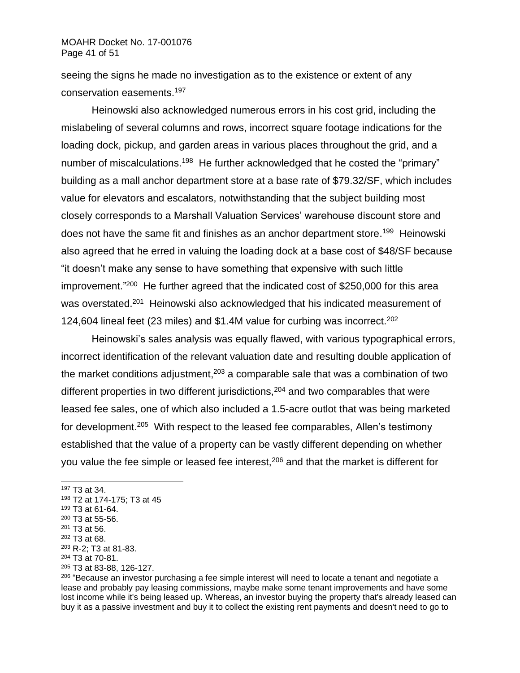seeing the signs he made no investigation as to the existence or extent of any conservation easements. 197

Heinowski also acknowledged numerous errors in his cost grid, including the mislabeling of several columns and rows, incorrect square footage indications for the loading dock, pickup, and garden areas in various places throughout the grid, and a number of miscalculations.<sup>198</sup> He further acknowledged that he costed the "primary" building as a mall anchor department store at a base rate of \$79.32/SF, which includes value for elevators and escalators, notwithstanding that the subject building most closely corresponds to a Marshall Valuation Services' warehouse discount store and does not have the same fit and finishes as an anchor department store.<sup>199</sup> Heinowski also agreed that he erred in valuing the loading dock at a base cost of \$48/SF because "it doesn't make any sense to have something that expensive with such little improvement."<sup>200</sup> He further agreed that the indicated cost of \$250,000 for this area was overstated.<sup>201</sup> Heinowski also acknowledged that his indicated measurement of 124,604 lineal feet (23 miles) and \$1.4M value for curbing was incorrect.<sup>202</sup>

Heinowski's sales analysis was equally flawed, with various typographical errors, incorrect identification of the relevant valuation date and resulting double application of the market conditions adjustment,  $203$  a comparable sale that was a combination of two different properties in two different jurisdictions,  $204$  and two comparables that were leased fee sales, one of which also included a 1.5-acre outlot that was being marketed for development.<sup>205</sup> With respect to the leased fee comparables, Allen's testimony established that the value of a property can be vastly different depending on whether you value the fee simple or leased fee interest,<sup>206</sup> and that the market is different for

<sup>203</sup> R-2; T3 at 81-83. <sup>204</sup> T3 at 70-81.

<sup>197</sup> T3 at 34.

<sup>198</sup> T2 at 174-175; T3 at 45

<sup>199</sup> T3 at 61-64.

<sup>200</sup> T3 at 55-56.

<sup>201</sup> T3 at 56.

<sup>202</sup> T3 at 68.

<sup>205</sup> T3 at 83-88, 126-127.

<sup>&</sup>lt;sup>206</sup> "Because an investor purchasing a fee simple interest will need to locate a tenant and negotiate a lease and probably pay leasing commissions, maybe make some tenant improvements and have some lost income while it's being leased up. Whereas, an investor buying the property that's already leased can buy it as a passive investment and buy it to collect the existing rent payments and doesn't need to go to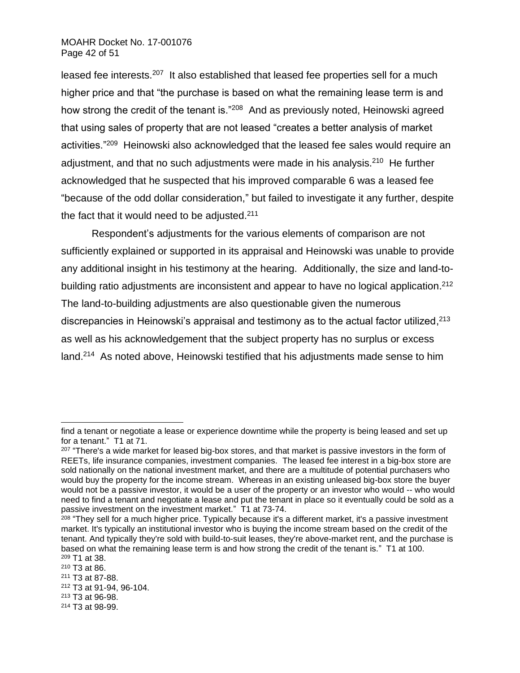leased fee interests.<sup>207</sup> It also established that leased fee properties sell for a much higher price and that "the purchase is based on what the remaining lease term is and how strong the credit of the tenant is."<sup>208</sup> And as previously noted, Heinowski agreed that using sales of property that are not leased "creates a better analysis of market activities."<sup>209</sup> Heinowski also acknowledged that the leased fee sales would require an adjustment, and that no such adjustments were made in his analysis.<sup>210</sup> He further acknowledged that he suspected that his improved comparable 6 was a leased fee "because of the odd dollar consideration," but failed to investigate it any further, despite the fact that it would need to be adjusted.<sup>211</sup>

Respondent's adjustments for the various elements of comparison are not sufficiently explained or supported in its appraisal and Heinowski was unable to provide any additional insight in his testimony at the hearing. Additionally, the size and land-tobuilding ratio adjustments are inconsistent and appear to have no logical application.<sup>212</sup> The land-to-building adjustments are also questionable given the numerous discrepancies in Heinowski's appraisal and testimony as to the actual factor utilized, $^{213}$ as well as his acknowledgement that the subject property has no surplus or excess land.<sup>214</sup> As noted above, Heinowski testified that his adjustments made sense to him

find a tenant or negotiate a lease or experience downtime while the property is being leased and set up for a tenant." T1 at 71.

<sup>&</sup>lt;sup>207</sup> "There's a wide market for leased big-box stores, and that market is passive investors in the form of REETs, life insurance companies, investment companies. The leased fee interest in a big-box store are sold nationally on the national investment market, and there are a multitude of potential purchasers who would buy the property for the income stream. Whereas in an existing unleased big-box store the buyer would not be a passive investor, it would be a user of the property or an investor who would -- who would need to find a tenant and negotiate a lease and put the tenant in place so it eventually could be sold as a passive investment on the investment market." T1 at 73-74.

<sup>&</sup>lt;sup>208</sup> "They sell for a much higher price. Typically because it's a different market, it's a passive investment market. It's typically an institutional investor who is buying the income stream based on the credit of the tenant. And typically they're sold with build-to-suit leases, they're above-market rent, and the purchase is based on what the remaining lease term is and how strong the credit of the tenant is." T1 at 100. <sup>209</sup> T1 at 38.

<sup>210</sup> T3 at 86.

<sup>211</sup> T3 at 87-88.

<sup>212</sup> T3 at 91-94, 96-104.

<sup>213</sup> T3 at 96-98.

<sup>214</sup> T3 at 98-99.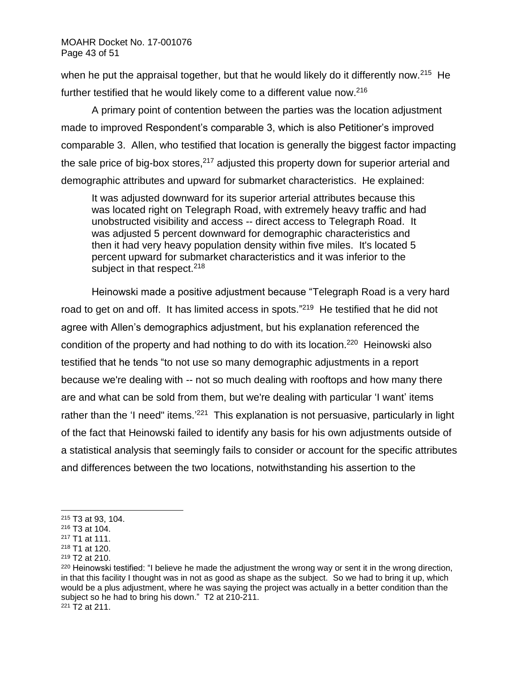when he put the appraisal together, but that he would likely do it differently now.<sup>215</sup> He further testified that he would likely come to a different value now.<sup>216</sup>

A primary point of contention between the parties was the location adjustment made to improved Respondent's comparable 3, which is also Petitioner's improved comparable 3. Allen, who testified that location is generally the biggest factor impacting the sale price of big-box stores, $2^{17}$  adjusted this property down for superior arterial and demographic attributes and upward for submarket characteristics. He explained:

It was adjusted downward for its superior arterial attributes because this was located right on Telegraph Road, with extremely heavy traffic and had unobstructed visibility and access -- direct access to Telegraph Road. It was adjusted 5 percent downward for demographic characteristics and then it had very heavy population density within five miles. It's located 5 percent upward for submarket characteristics and it was inferior to the subject in that respect. $218$ 

Heinowski made a positive adjustment because "Telegraph Road is a very hard road to get on and off. It has limited access in spots."<sup>219</sup> He testified that he did not agree with Allen's demographics adjustment, but his explanation referenced the condition of the property and had nothing to do with its location.<sup>220</sup> Heinowski also testified that he tends "to not use so many demographic adjustments in a report because we're dealing with -- not so much dealing with rooftops and how many there are and what can be sold from them, but we're dealing with particular 'I want' items rather than the 'I need" items.<sup>'221</sup> This explanation is not persuasive, particularly in light of the fact that Heinowski failed to identify any basis for his own adjustments outside of a statistical analysis that seemingly fails to consider or account for the specific attributes and differences between the two locations, notwithstanding his assertion to the

<sup>215</sup> T3 at 93, 104.

<sup>216</sup> T3 at 104.

<sup>217</sup> T1 at 111.

<sup>218</sup> T1 at 120.

<sup>219</sup> T2 at 210.

<sup>220</sup> Heinowski testified: "I believe he made the adjustment the wrong way or sent it in the wrong direction, in that this facility I thought was in not as good as shape as the subject. So we had to bring it up, which would be a plus adjustment, where he was saying the project was actually in a better condition than the subject so he had to bring his down." T2 at 210-211.

 $221 \overline{T}2$  at 211.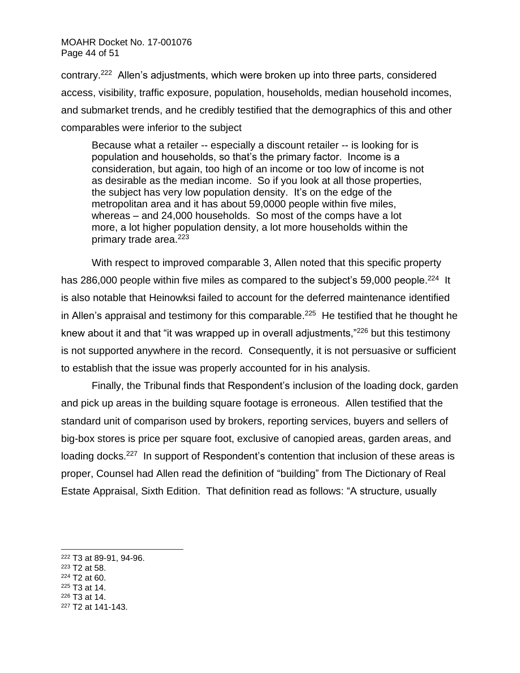## MOAHR Docket No. 17-001076 Page 44 of 51

contrary.<sup>222</sup> Allen's adjustments, which were broken up into three parts, considered access, visibility, traffic exposure, population, households, median household incomes, and submarket trends, and he credibly testified that the demographics of this and other comparables were inferior to the subject

Because what a retailer -- especially a discount retailer -- is looking for is population and households, so that's the primary factor. Income is a consideration, but again, too high of an income or too low of income is not as desirable as the median income. So if you look at all those properties, the subject has very low population density. It's on the edge of the metropolitan area and it has about 59,0000 people within five miles, whereas – and 24,000 households. So most of the comps have a lot more, a lot higher population density, a lot more households within the primary trade area.<sup>223</sup>

With respect to improved comparable 3, Allen noted that this specific property has 286,000 people within five miles as compared to the subject's 59,000 people.<sup>224</sup> It is also notable that Heinowksi failed to account for the deferred maintenance identified in Allen's appraisal and testimony for this comparable. 225 He testified that he thought he knew about it and that "it was wrapped up in overall adjustments,"<sup>226</sup> but this testimony is not supported anywhere in the record. Consequently, it is not persuasive or sufficient to establish that the issue was properly accounted for in his analysis.

Finally, the Tribunal finds that Respondent's inclusion of the loading dock, garden and pick up areas in the building square footage is erroneous. Allen testified that the standard unit of comparison used by brokers, reporting services, buyers and sellers of big-box stores is price per square foot, exclusive of canopied areas, garden areas, and loading docks.<sup>227</sup> In support of Respondent's contention that inclusion of these areas is proper, Counsel had Allen read the definition of "building" from The Dictionary of Real Estate Appraisal, Sixth Edition. That definition read as follows: "A structure, usually

- <sup>223</sup> T2 at 58.
- <sup>224</sup> T2 at 60.
- <sup>225</sup> T3 at 14. <sup>226</sup> T3 at 14.
- <sup>227</sup> T2 at 141-143.

<sup>222</sup> T3 at 89-91, 94-96.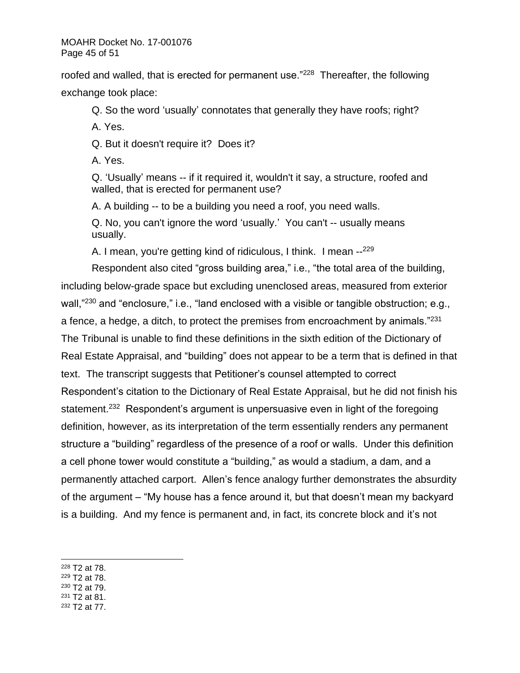roofed and walled, that is erected for permanent use."<sup>228</sup> Thereafter, the following exchange took place:

Q. So the word 'usually' connotates that generally they have roofs; right?

A. Yes.

Q. But it doesn't require it? Does it?

A. Yes.

Q. 'Usually' means -- if it required it, wouldn't it say, a structure, roofed and walled, that is erected for permanent use?

A. A building -- to be a building you need a roof, you need walls.

Q. No, you can't ignore the word 'usually.' You can't -- usually means usually.

A. I mean, you're getting kind of ridiculous, I think. I mean --<sup>229</sup>

Respondent also cited "gross building area," i.e., "the total area of the building, including below-grade space but excluding unenclosed areas, measured from exterior wall,"<sup>230</sup> and "enclosure," i.e., "land enclosed with a visible or tangible obstruction; e.g., a fence, a hedge, a ditch, to protect the premises from encroachment by animals." $^{231}$ The Tribunal is unable to find these definitions in the sixth edition of the Dictionary of Real Estate Appraisal, and "building" does not appear to be a term that is defined in that text. The transcript suggests that Petitioner's counsel attempted to correct Respondent's citation to the Dictionary of Real Estate Appraisal, but he did not finish his statement.<sup>232</sup> Respondent's argument is unpersuasive even in light of the foregoing definition, however, as its interpretation of the term essentially renders any permanent structure a "building" regardless of the presence of a roof or walls. Under this definition a cell phone tower would constitute a "building," as would a stadium, a dam, and a permanently attached carport. Allen's fence analogy further demonstrates the absurdity of the argument – "My house has a fence around it, but that doesn't mean my backyard is a building. And my fence is permanent and, in fact, its concrete block and it's not

- <sup>229</sup> T2 at 78.
- <sup>230</sup> T2 at 79.
- <sup>231</sup> T2 at 81.
- <sup>232</sup> T2 at 77.

<sup>228</sup> T2 at 78.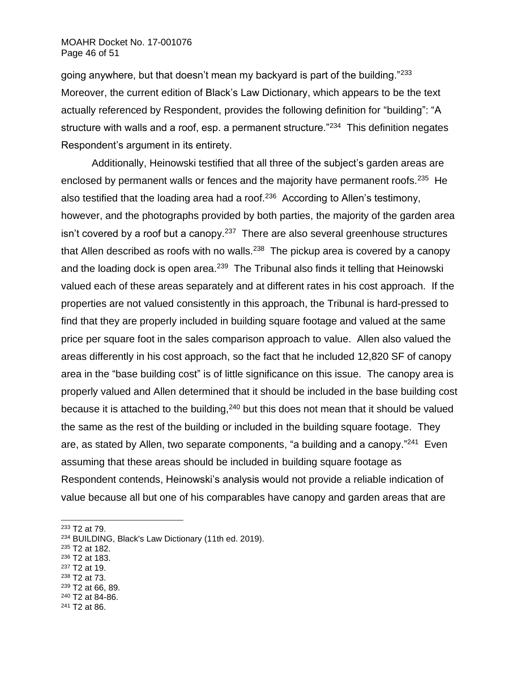### MOAHR Docket No. 17-001076 Page 46 of 51

going anywhere, but that doesn't mean my backyard is part of the building." $^{233}$ Moreover, the current edition of Black's Law Dictionary, which appears to be the text actually referenced by Respondent, provides the following definition for "building": "A structure with walls and a roof, esp. a permanent structure."<sup>234</sup> This definition negates Respondent's argument in its entirety.

Additionally, Heinowski testified that all three of the subject's garden areas are enclosed by permanent walls or fences and the majority have permanent roofs.<sup>235</sup> He also testified that the loading area had a roof.<sup>236</sup> According to Allen's testimony, however, and the photographs provided by both parties, the majority of the garden area isn't covered by a roof but a canopy.<sup>237</sup> There are also several greenhouse structures that Allen described as roofs with no walls.<sup>238</sup> The pickup area is covered by a canopy and the loading dock is open area.<sup>239</sup> The Tribunal also finds it telling that Heinowski valued each of these areas separately and at different rates in his cost approach. If the properties are not valued consistently in this approach, the Tribunal is hard-pressed to find that they are properly included in building square footage and valued at the same price per square foot in the sales comparison approach to value. Allen also valued the areas differently in his cost approach, so the fact that he included 12,820 SF of canopy area in the "base building cost" is of little significance on this issue. The canopy area is properly valued and Allen determined that it should be included in the base building cost because it is attached to the building, $240$  but this does not mean that it should be valued the same as the rest of the building or included in the building square footage. They are, as stated by Allen, two separate components, "a building and a canopy."<sup>241</sup> Even assuming that these areas should be included in building square footage as Respondent contends, Heinowski's analysis would not provide a reliable indication of value because all but one of his comparables have canopy and garden areas that are

<sup>233</sup> T2 at 79.

- <sup>235</sup> T2 at 182.
- <sup>236</sup> T2 at 183.
- <sup>237</sup> T2 at 19.
- <sup>238</sup> T2 at 73.
- <sup>239</sup> T2 at 66, 89.
- <sup>240</sup> T2 at 84-86.
- <sup>241</sup> T2 at 86.

<sup>234</sup> BUILDING, Black's Law Dictionary (11th ed. 2019).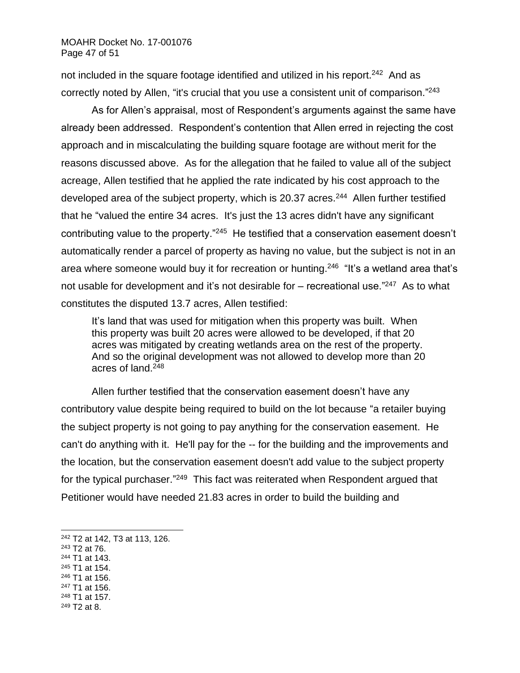not included in the square footage identified and utilized in his report.<sup>242</sup> And as correctly noted by Allen, "it's crucial that you use a consistent unit of comparison."<sup>243</sup>

As for Allen's appraisal, most of Respondent's arguments against the same have already been addressed. Respondent's contention that Allen erred in rejecting the cost approach and in miscalculating the building square footage are without merit for the reasons discussed above. As for the allegation that he failed to value all of the subject acreage, Allen testified that he applied the rate indicated by his cost approach to the developed area of the subject property, which is 20.37 acres.<sup>244</sup> Allen further testified that he "valued the entire 34 acres. It's just the 13 acres didn't have any significant contributing value to the property."<sup>245</sup> He testified that a conservation easement doesn't automatically render a parcel of property as having no value, but the subject is not in an area where someone would buy it for recreation or hunting.<sup>246</sup> "It's a wetland area that's not usable for development and it's not desirable for – recreational use."<sup>247</sup> As to what constitutes the disputed 13.7 acres, Allen testified:

It's land that was used for mitigation when this property was built. When this property was built 20 acres were allowed to be developed, if that 20 acres was mitigated by creating wetlands area on the rest of the property. And so the original development was not allowed to develop more than 20 acres of land.<sup>248</sup>

Allen further testified that the conservation easement doesn't have any contributory value despite being required to build on the lot because "a retailer buying the subject property is not going to pay anything for the conservation easement. He can't do anything with it. He'll pay for the -- for the building and the improvements and the location, but the conservation easement doesn't add value to the subject property for the typical purchaser."<sup>249</sup> This fact was reiterated when Respondent argued that Petitioner would have needed 21.83 acres in order to build the building and

- <sup>243</sup> T2 at 76.
- <sup>244</sup> T1 at 143.
- <sup>245</sup> T1 at 154.
- <sup>246</sup> T1 at 156. <sup>247</sup> T1 at 156.
- <sup>248</sup> T1 at 157.
- <sup>249</sup> T2 at 8.

<sup>242</sup> T2 at 142, T3 at 113, 126.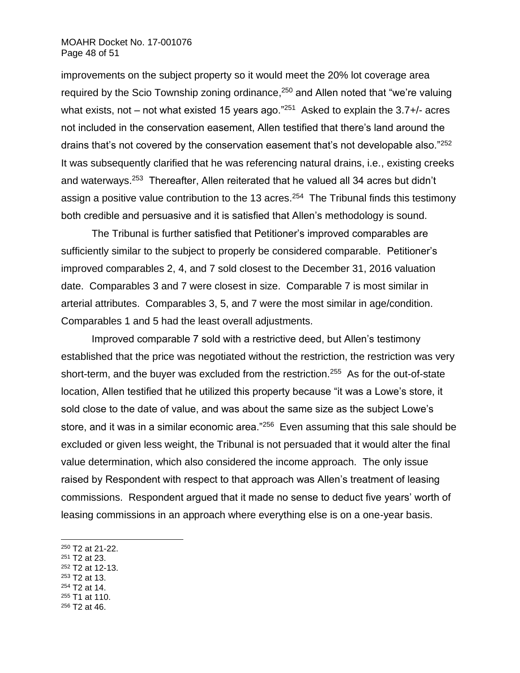### MOAHR Docket No. 17-001076 Page 48 of 51

improvements on the subject property so it would meet the 20% lot coverage area required by the Scio Township zoning ordinance,<sup>250</sup> and Allen noted that "we're valuing what exists, not – not what existed 15 years ago."<sup>251</sup> Asked to explain the 3.7+/- acres not included in the conservation easement, Allen testified that there's land around the drains that's not covered by the conservation easement that's not developable also."252 It was subsequently clarified that he was referencing natural drains, i.e., existing creeks and waterways.<sup>253</sup> Thereafter, Allen reiterated that he valued all 34 acres but didn't assign a positive value contribution to the 13 acres.<sup>254</sup> The Tribunal finds this testimony both credible and persuasive and it is satisfied that Allen's methodology is sound.

The Tribunal is further satisfied that Petitioner's improved comparables are sufficiently similar to the subject to properly be considered comparable. Petitioner's improved comparables 2, 4, and 7 sold closest to the December 31, 2016 valuation date. Comparables 3 and 7 were closest in size. Comparable 7 is most similar in arterial attributes. Comparables 3, 5, and 7 were the most similar in age/condition. Comparables 1 and 5 had the least overall adjustments.

Improved comparable 7 sold with a restrictive deed, but Allen's testimony established that the price was negotiated without the restriction, the restriction was very short-term, and the buyer was excluded from the restriction.<sup>255</sup> As for the out-of-state location, Allen testified that he utilized this property because "it was a Lowe's store, it sold close to the date of value, and was about the same size as the subject Lowe's store, and it was in a similar economic area."<sup>256</sup> Even assuming that this sale should be excluded or given less weight, the Tribunal is not persuaded that it would alter the final value determination, which also considered the income approach. The only issue raised by Respondent with respect to that approach was Allen's treatment of leasing commissions. Respondent argued that it made no sense to deduct five years' worth of leasing commissions in an approach where everything else is on a one-year basis.

- <sup>251</sup> T2 at 23.
- <sup>252</sup> T2 at 12-13.
- <sup>253</sup> T2 at 13.
- <sup>254</sup> T2 at 14.
- <sup>255</sup> T1 at 110.
- <sup>256</sup> T2 at 46.

<sup>250</sup> T2 at 21-22.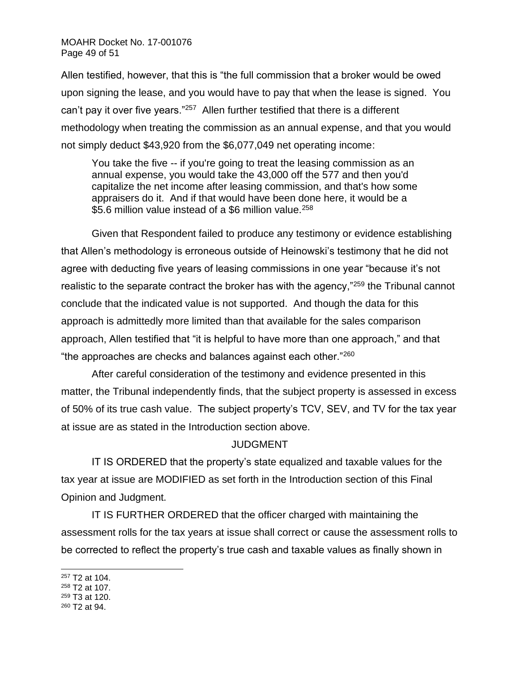Allen testified, however, that this is "the full commission that a broker would be owed upon signing the lease, and you would have to pay that when the lease is signed. You can't pay it over five years."<sup>257</sup> Allen further testified that there is a different methodology when treating the commission as an annual expense, and that you would not simply deduct \$43,920 from the \$6,077,049 net operating income:

You take the five -- if you're going to treat the leasing commission as an annual expense, you would take the 43,000 off the 577 and then you'd capitalize the net income after leasing commission, and that's how some appraisers do it. And if that would have been done here, it would be a \$5.6 million value instead of a \$6 million value.<sup>258</sup>

Given that Respondent failed to produce any testimony or evidence establishing that Allen's methodology is erroneous outside of Heinowski's testimony that he did not agree with deducting five years of leasing commissions in one year "because it's not realistic to the separate contract the broker has with the agency,"<sup>259</sup> the Tribunal cannot conclude that the indicated value is not supported. And though the data for this approach is admittedly more limited than that available for the sales comparison approach, Allen testified that "it is helpful to have more than one approach," and that "the approaches are checks and balances against each other." $^{260}$ 

After careful consideration of the testimony and evidence presented in this matter, the Tribunal independently finds, that the subject property is assessed in excess of 50% of its true cash value. The subject property's TCV, SEV, and TV for the tax year at issue are as stated in the Introduction section above.

# JUDGMENT

IT IS ORDERED that the property's state equalized and taxable values for the tax year at issue are MODIFIED as set forth in the Introduction section of this Final Opinion and Judgment.

IT IS FURTHER ORDERED that the officer charged with maintaining the assessment rolls for the tax years at issue shall correct or cause the assessment rolls to be corrected to reflect the property's true cash and taxable values as finally shown in

<sup>260</sup> T2 at 94.

<sup>257</sup> T2 at 104.

<sup>258</sup> T2 at 107.

<sup>259</sup> T3 at 120.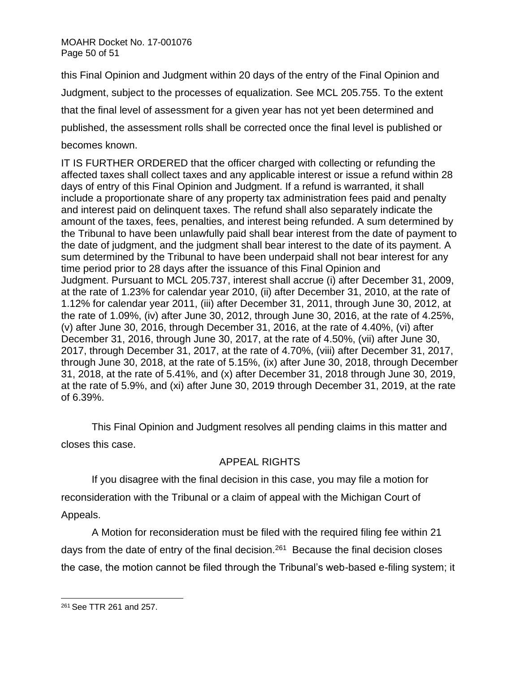MOAHR Docket No. 17-001076 Page 50 of 51

this Final Opinion and Judgment within 20 days of the entry of the Final Opinion and Judgment, subject to the processes of equalization. See MCL 205.755. To the extent that the final level of assessment for a given year has not yet been determined and published, the assessment rolls shall be corrected once the final level is published or becomes known.

IT IS FURTHER ORDERED that the officer charged with collecting or refunding the affected taxes shall collect taxes and any applicable interest or issue a refund within 28 days of entry of this Final Opinion and Judgment. If a refund is warranted, it shall include a proportionate share of any property tax administration fees paid and penalty and interest paid on delinquent taxes. The refund shall also separately indicate the amount of the taxes, fees, penalties, and interest being refunded. A sum determined by the Tribunal to have been unlawfully paid shall bear interest from the date of payment to the date of judgment, and the judgment shall bear interest to the date of its payment. A sum determined by the Tribunal to have been underpaid shall not bear interest for any time period prior to 28 days after the issuance of this Final Opinion and Judgment. Pursuant to MCL 205.737, interest shall accrue (i) after December 31, 2009, at the rate of 1.23% for calendar year 2010, (ii) after December 31, 2010, at the rate of 1.12% for calendar year 2011, (iii) after December 31, 2011, through June 30, 2012, at the rate of 1.09%, (iv) after June 30, 2012, through June 30, 2016, at the rate of 4.25%, (v) after June 30, 2016, through December 31, 2016, at the rate of 4.40%, (vi) after December 31, 2016, through June 30, 2017, at the rate of 4.50%, (vii) after June 30, 2017, through December 31, 2017, at the rate of 4.70%, (viii) after December 31, 2017, through June 30, 2018, at the rate of 5.15%, (ix) after June 30, 2018, through December 31, 2018, at the rate of 5.41%, and (x) after December 31, 2018 through June 30, 2019, at the rate of 5.9%, and (xi) after June 30, 2019 through December 31, 2019, at the rate of 6.39%.

This Final Opinion and Judgment resolves all pending claims in this matter and closes this case.

# APPEAL RIGHTS

If you disagree with the final decision in this case, you may file a motion for reconsideration with the Tribunal or a claim of appeal with the Michigan Court of Appeals.

A Motion for reconsideration must be filed with the required filing fee within 21 days from the date of entry of the final decision.<sup>261</sup> Because the final decision closes the case, the motion cannot be filed through the Tribunal's web-based e-filing system; it

<sup>261</sup> See TTR 261 and 257.